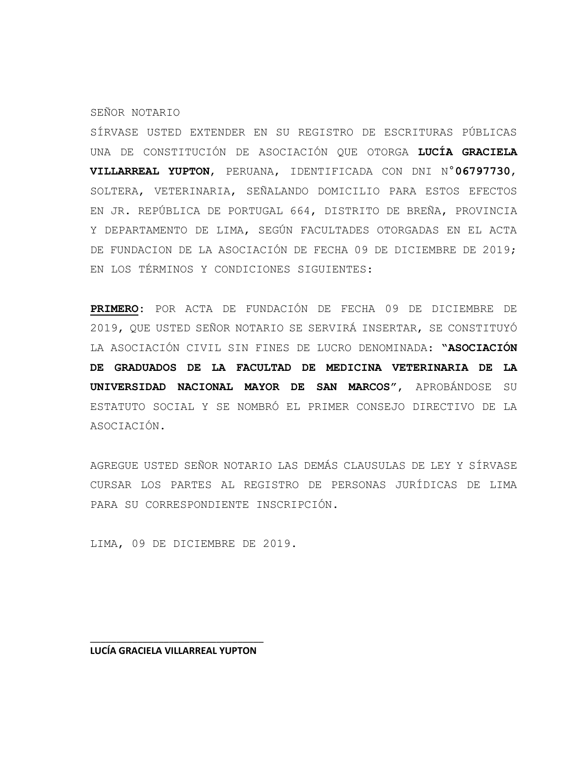#### SEÑOR NOTARIO

SÍRVASE USTED EXTENDER EN SU REGISTRO DE ESCRITURAS PÚBLICAS UNA DE CONSTITUCIÓN DE ASOCIACIÓN QUE OTORGA **LUCÍA GRACIELA VILLARREAL YUPTON**, PERUANA, IDENTIFICADA CON DNI N°**06797730**, SOLTERA, VETERINARIA, SEÑALANDO DOMICILIO PARA ESTOS EFECTOS EN JR. REPÚBLICA DE PORTUGAL 664, DISTRITO DE BREÑA, PROVINCIA Y DEPARTAMENTO DE LIMA, SEGÚN FACULTADES OTORGADAS EN EL ACTA DE FUNDACION DE LA ASOCIACIÓN DE FECHA 09 DE DICIEMBRE DE 2019; EN LOS TÉRMINOS Y CONDICIONES SIGUIENTES:

**PRIMERO:** POR ACTA DE FUNDACIÓN DE FECHA 09 DE DICIEMBRE DE 2019, QUE USTED SEÑOR NOTARIO SE SERVIRÁ INSERTAR, SE CONSTITUYÓ LA ASOCIACIÓN CIVIL SIN FINES DE LUCRO DENOMINADA: **"ASOCIACIÓN DE GRADUADOS DE LA FACULTAD DE MEDICINA VETERINARIA DE LA UNIVERSIDAD NACIONAL MAYOR DE SAN MARCOS"**, APROBÁNDOSE SU ESTATUTO SOCIAL Y SE NOMBRÓ EL PRIMER CONSEJO DIRECTIVO DE LA ASOCIACIÓN.

AGREGUE USTED SEÑOR NOTARIO LAS DEMÁS CLAUSULAS DE LEY Y SÍRVASE CURSAR LOS PARTES AL REGISTRO DE PERSONAS JURÍDICAS DE LIMA PARA SU CORRESPONDIENTE INSCRIPCIÓN.

LIMA, 09 DE DICIEMBRE DE 2019.

\_\_\_\_\_\_\_\_\_\_\_\_\_\_\_\_\_\_\_\_\_\_\_\_\_\_\_\_\_\_\_\_\_ **LUCÍA GRACIELA VILLARREAL YUPTON**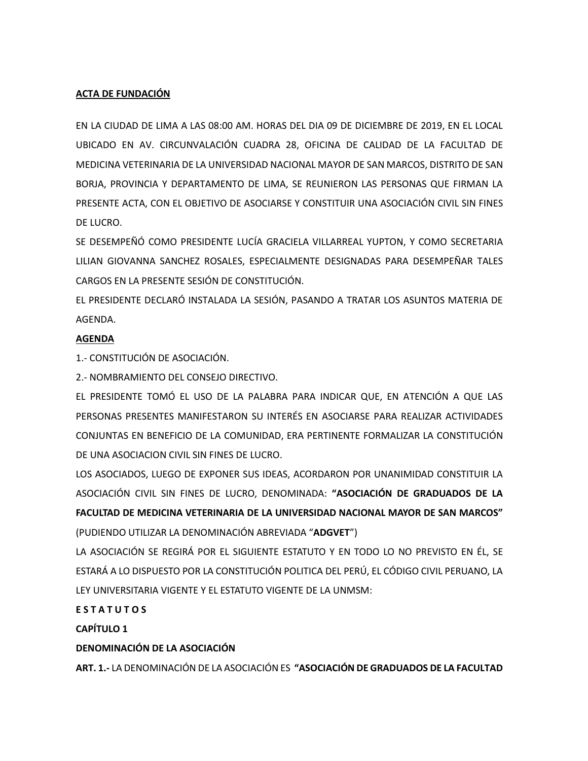# **ACTA DE FUNDACIÓN**

EN LA CIUDAD DE LIMA A LAS 08:00 AM. HORAS DEL DIA 09 DE DICIEMBRE DE 2019, EN EL LOCAL UBICADO EN AV. CIRCUNVALACIÓN CUADRA 28, OFICINA DE CALIDAD DE LA FACULTAD DE MEDICINA VETERINARIA DE LA UNIVERSIDAD NACIONAL MAYOR DE SAN MARCOS, DISTRITO DE SAN BORJA, PROVINCIA Y DEPARTAMENTO DE LIMA, SE REUNIERON LAS PERSONAS QUE FIRMAN LA PRESENTE ACTA, CON EL OBJETIVO DE ASOCIARSE Y CONSTITUIR UNA ASOCIACIÓN CIVIL SIN FINES DE LUCRO.

SE DESEMPEÑÓ COMO PRESIDENTE LUCÍA GRACIELA VILLARREAL YUPTON, Y COMO SECRETARIA LILIAN GIOVANNA SANCHEZ ROSALES, ESPECIALMENTE DESIGNADAS PARA DESEMPEÑAR TALES CARGOS EN LA PRESENTE SESIÓN DE CONSTITUCIÓN.

EL PRESIDENTE DECLARÓ INSTALADA LA SESIÓN, PASANDO A TRATAR LOS ASUNTOS MATERIA DE AGENDA.

## **AGENDA**

1.- CONSTITUCIÓN DE ASOCIACIÓN.

2.- NOMBRAMIENTO DEL CONSEJO DIRECTIVO.

EL PRESIDENTE TOMÓ EL USO DE LA PALABRA PARA INDICAR QUE, EN ATENCIÓN A QUE LAS PERSONAS PRESENTES MANIFESTARON SU INTERÉS EN ASOCIARSE PARA REALIZAR ACTIVIDADES CONJUNTAS EN BENEFICIO DE LA COMUNIDAD, ERA PERTINENTE FORMALIZAR LA CONSTITUCIÓN DE UNA ASOCIACION CIVIL SIN FINES DE LUCRO.

LOS ASOCIADOS, LUEGO DE EXPONER SUS IDEAS, ACORDARON POR UNANIMIDAD CONSTITUIR LA ASOCIACIÓN CIVIL SIN FINES DE LUCRO, DENOMINADA: **"ASOCIACIÓN DE GRADUADOS DE LA FACULTAD DE MEDICINA VETERINARIA DE LA UNIVERSIDAD NACIONAL MAYOR DE SAN MARCOS"**  (PUDIENDO UTILIZAR LA DENOMINACIÓN ABREVIADA "**ADGVET**")

LA ASOCIACIÓN SE REGIRÁ POR EL SIGUIENTE ESTATUTO Y EN TODO LO NO PREVISTO EN ÉL, SE ESTARÁ A LO DISPUESTO POR LA CONSTITUCIÓN POLITICA DEL PERÚ, EL CÓDIGO CIVIL PERUANO, LA LEY UNIVERSITARIA VIGENTE Y EL ESTATUTO VIGENTE DE LA UNMSM:

## **E S T A T U T O S**

**CAPÍTULO 1**

## **DENOMINACIÓN DE LA ASOCIACIÓN**

**ART. 1.-** LA DENOMINACIÓN DE LA ASOCIACIÓN ES **"ASOCIACIÓN DE GRADUADOS DE LA FACULTAD**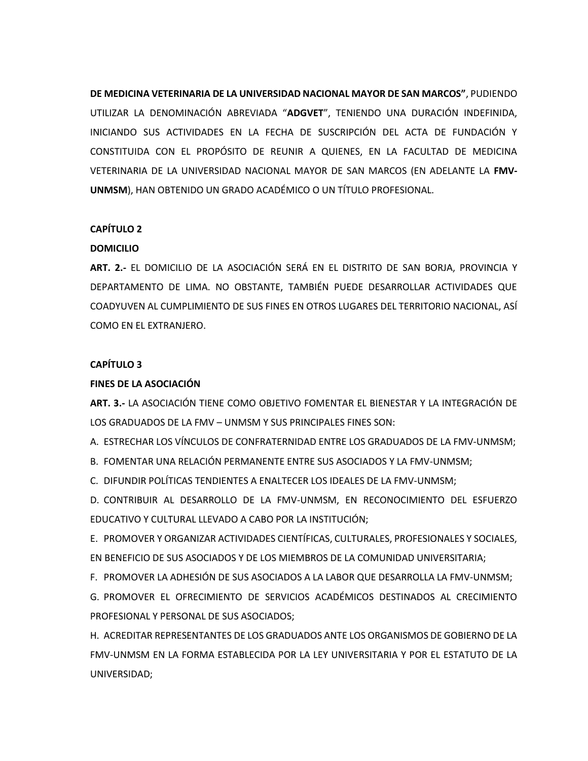**DE MEDICINA VETERINARIA DE LA UNIVERSIDAD NACIONAL MAYOR DE SAN MARCOS"**, PUDIENDO UTILIZAR LA DENOMINACIÓN ABREVIADA "**ADGVET**", TENIENDO UNA DURACIÓN INDEFINIDA, INICIANDO SUS ACTIVIDADES EN LA FECHA DE SUSCRIPCIÓN DEL ACTA DE FUNDACIÓN Y CONSTITUIDA CON EL PROPÓSITO DE REUNIR A QUIENES, EN LA FACULTAD DE MEDICINA VETERINARIA DE LA UNIVERSIDAD NACIONAL MAYOR DE SAN MARCOS (EN ADELANTE LA **FMV-UNMSM**), HAN OBTENIDO UN GRADO ACADÉMICO O UN TÍTULO PROFESIONAL.

## **CAPÍTULO 2**

## **DOMICILIO**

**ART. 2.-** EL DOMICILIO DE LA ASOCIACIÓN SERÁ EN EL DISTRITO DE SAN BORJA, PROVINCIA Y DEPARTAMENTO DE LIMA. NO OBSTANTE, TAMBIÉN PUEDE DESARROLLAR ACTIVIDADES QUE COADYUVEN AL CUMPLIMIENTO DE SUS FINES EN OTROS LUGARES DEL TERRITORIO NACIONAL, ASÍ COMO EN EL EXTRANJERO.

## **CAPÍTULO 3**

## **FINES DE LA ASOCIACIÓN**

**ART. 3.-** LA ASOCIACIÓN TIENE COMO OBJETIVO FOMENTAR EL BIENESTAR Y LA INTEGRACIÓN DE LOS GRADUADOS DE LA FMV – UNMSM Y SUS PRINCIPALES FINES SON:

A. ESTRECHAR LOS VÍNCULOS DE CONFRATERNIDAD ENTRE LOS GRADUADOS DE LA FMV-UNMSM;

B. FOMENTAR UNA RELACIÓN PERMANENTE ENTRE SUS ASOCIADOS Y LA FMV-UNMSM;

C. DIFUNDIR POLÍTICAS TENDIENTES A ENALTECER LOS IDEALES DE LA FMV-UNMSM;

D. CONTRIBUIR AL DESARROLLO DE LA FMV-UNMSM, EN RECONOCIMIENTO DEL ESFUERZO EDUCATIVO Y CULTURAL LLEVADO A CABO POR LA INSTITUCIÓN;

E. PROMOVER Y ORGANIZAR ACTIVIDADES CIENTÍFICAS, CULTURALES, PROFESIONALES Y SOCIALES, EN BENEFICIO DE SUS ASOCIADOS Y DE LOS MIEMBROS DE LA COMUNIDAD UNIVERSITARIA;

F. PROMOVER LA ADHESIÓN DE SUS ASOCIADOS A LA LABOR QUE DESARROLLA LA FMV-UNMSM;

G. PROMOVER EL OFRECIMIENTO DE SERVICIOS ACADÉMICOS DESTINADOS AL CRECIMIENTO PROFESIONAL Y PERSONAL DE SUS ASOCIADOS;

H. ACREDITAR REPRESENTANTES DE LOS GRADUADOS ANTE LOS ORGANISMOS DE GOBIERNO DE LA FMV-UNMSM EN LA FORMA ESTABLECIDA POR LA LEY UNIVERSITARIA Y POR EL ESTATUTO DE LA UNIVERSIDAD;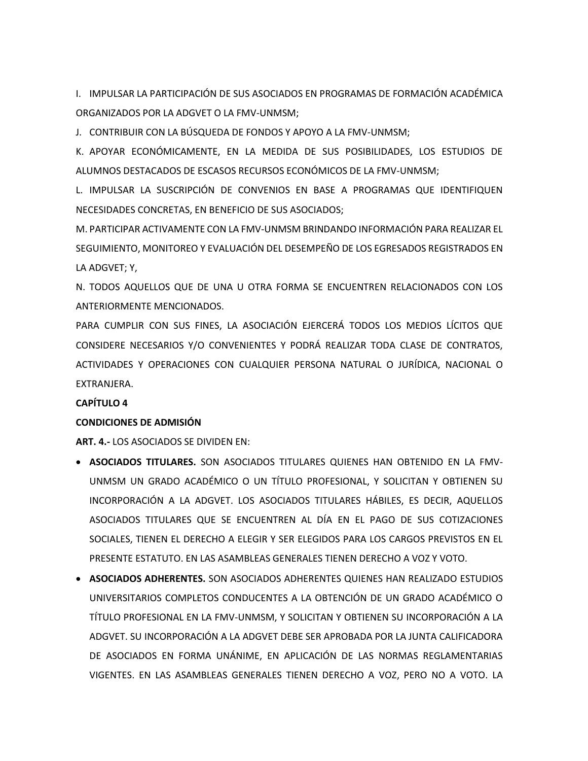I. IMPULSAR LA PARTICIPACIÓN DE SUS ASOCIADOS EN PROGRAMAS DE FORMACIÓN ACADÉMICA ORGANIZADOS POR LA ADGVET O LA FMV-UNMSM;

J. CONTRIBUIR CON LA BÚSQUEDA DE FONDOS Y APOYO A LA FMV-UNMSM;

K. APOYAR ECONÓMICAMENTE, EN LA MEDIDA DE SUS POSIBILIDADES, LOS ESTUDIOS DE ALUMNOS DESTACADOS DE ESCASOS RECURSOS ECONÓMICOS DE LA FMV-UNMSM;

L. IMPULSAR LA SUSCRIPCIÓN DE CONVENIOS EN BASE A PROGRAMAS QUE IDENTIFIQUEN NECESIDADES CONCRETAS, EN BENEFICIO DE SUS ASOCIADOS;

M. PARTICIPAR ACTIVAMENTE CON LA FMV-UNMSM BRINDANDO INFORMACIÓN PARA REALIZAR EL SEGUIMIENTO, MONITOREO Y EVALUACIÓN DEL DESEMPEÑO DE LOS EGRESADOS REGISTRADOS EN LA ADGVET; Y,

N. TODOS AQUELLOS QUE DE UNA U OTRA FORMA SE ENCUENTREN RELACIONADOS CON LOS ANTERIORMENTE MENCIONADOS.

PARA CUMPLIR CON SUS FINES, LA ASOCIACIÓN EJERCERÁ TODOS LOS MEDIOS LÍCITOS QUE CONSIDERE NECESARIOS Y/O CONVENIENTES Y PODRÁ REALIZAR TODA CLASE DE CONTRATOS, ACTIVIDADES Y OPERACIONES CON CUALQUIER PERSONA NATURAL O JURÍDICA, NACIONAL O EXTRANJERA.

## **CAPÍTULO 4**

#### **CONDICIONES DE ADMISIÓN**

**ART. 4.-** LOS ASOCIADOS SE DIVIDEN EN:

- **ASOCIADOS TITULARES.** SON ASOCIADOS TITULARES QUIENES HAN OBTENIDO EN LA FMV-UNMSM UN GRADO ACADÉMICO O UN TÍTULO PROFESIONAL, Y SOLICITAN Y OBTIENEN SU INCORPORACIÓN A LA ADGVET. LOS ASOCIADOS TITULARES HÁBILES, ES DECIR, AQUELLOS ASOCIADOS TITULARES QUE SE ENCUENTREN AL DÍA EN EL PAGO DE SUS COTIZACIONES SOCIALES, TIENEN EL DERECHO A ELEGIR Y SER ELEGIDOS PARA LOS CARGOS PREVISTOS EN EL PRESENTE ESTATUTO. EN LAS ASAMBLEAS GENERALES TIENEN DERECHO A VOZ Y VOTO.
- **ASOCIADOS ADHERENTES.** SON ASOCIADOS ADHERENTES QUIENES HAN REALIZADO ESTUDIOS UNIVERSITARIOS COMPLETOS CONDUCENTES A LA OBTENCIÓN DE UN GRADO ACADÉMICO O TÍTULO PROFESIONAL EN LA FMV-UNMSM, Y SOLICITAN Y OBTIENEN SU INCORPORACIÓN A LA ADGVET. SU INCORPORACIÓN A LA ADGVET DEBE SER APROBADA POR LA JUNTA CALIFICADORA DE ASOCIADOS EN FORMA UNÁNIME, EN APLICACIÓN DE LAS NORMAS REGLAMENTARIAS VIGENTES. EN LAS ASAMBLEAS GENERALES TIENEN DERECHO A VOZ, PERO NO A VOTO. LA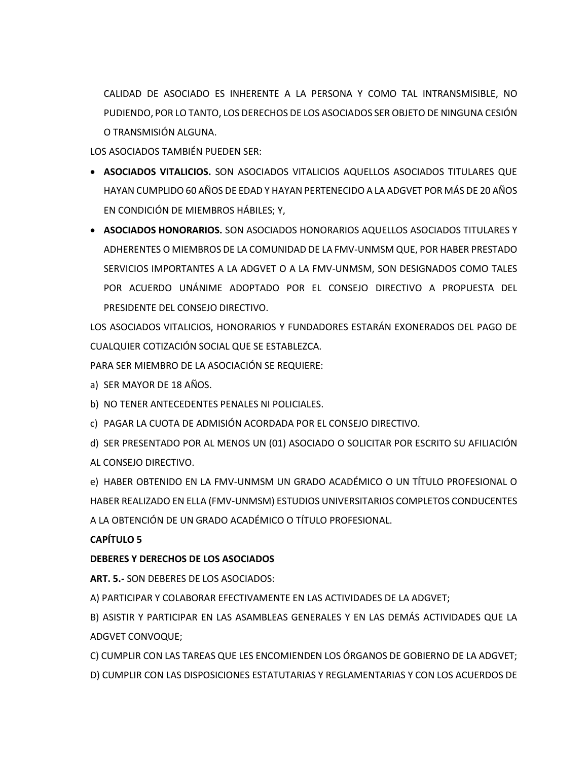CALIDAD DE ASOCIADO ES INHERENTE A LA PERSONA Y COMO TAL INTRANSMISIBLE, NO PUDIENDO, POR LO TANTO, LOS DERECHOS DE LOS ASOCIADOS SER OBJETO DE NINGUNA CESIÓN O TRANSMISIÓN ALGUNA.

LOS ASOCIADOS TAMBIÉN PUEDEN SER:

- **ASOCIADOS VITALICIOS.** SON ASOCIADOS VITALICIOS AQUELLOS ASOCIADOS TITULARES QUE HAYAN CUMPLIDO 60 AÑOS DE EDAD Y HAYAN PERTENECIDO A LA ADGVET POR MÁS DE 20 AÑOS EN CONDICIÓN DE MIEMBROS HÁBILES; Y,
- **ASOCIADOS HONORARIOS.** SON ASOCIADOS HONORARIOS AQUELLOS ASOCIADOS TITULARES Y ADHERENTES O MIEMBROS DE LA COMUNIDAD DE LA FMV-UNMSM QUE, POR HABER PRESTADO SERVICIOS IMPORTANTES A LA ADGVET O A LA FMV-UNMSM, SON DESIGNADOS COMO TALES POR ACUERDO UNÁNIME ADOPTADO POR EL CONSEJO DIRECTIVO A PROPUESTA DEL PRESIDENTE DEL CONSEJO DIRECTIVO.

LOS ASOCIADOS VITALICIOS, HONORARIOS Y FUNDADORES ESTARÁN EXONERADOS DEL PAGO DE CUALQUIER COTIZACIÓN SOCIAL QUE SE ESTABLEZCA.

PARA SER MIEMBRO DE LA ASOCIACIÓN SE REQUIERE:

a) SER MAYOR DE 18 AÑOS.

b) NO TENER ANTECEDENTES PENALES NI POLICIALES.

c) PAGAR LA CUOTA DE ADMISIÓN ACORDADA POR EL CONSEJO DIRECTIVO.

d) SER PRESENTADO POR AL MENOS UN (01) ASOCIADO O SOLICITAR POR ESCRITO SU AFILIACIÓN AL CONSEJO DIRECTIVO.

e) HABER OBTENIDO EN LA FMV-UNMSM UN GRADO ACADÉMICO O UN TÍTULO PROFESIONAL O HABER REALIZADO EN ELLA (FMV-UNMSM) ESTUDIOS UNIVERSITARIOS COMPLETOS CONDUCENTES A LA OBTENCIÓN DE UN GRADO ACADÉMICO O TÍTULO PROFESIONAL.

# **CAPÍTULO 5**

# **DEBERES Y DERECHOS DE LOS ASOCIADOS**

**ART. 5.-** SON DEBERES DE LOS ASOCIADOS:

A) PARTICIPAR Y COLABORAR EFECTIVAMENTE EN LAS ACTIVIDADES DE LA ADGVET;

B) ASISTIR Y PARTICIPAR EN LAS ASAMBLEAS GENERALES Y EN LAS DEMÁS ACTIVIDADES QUE LA ADGVET CONVOQUE;

C) CUMPLIR CON LAS TAREAS QUE LES ENCOMIENDEN LOS ÓRGANOS DE GOBIERNO DE LA ADGVET; D) CUMPLIR CON LAS DISPOSICIONES ESTATUTARIAS Y REGLAMENTARIAS Y CON LOS ACUERDOS DE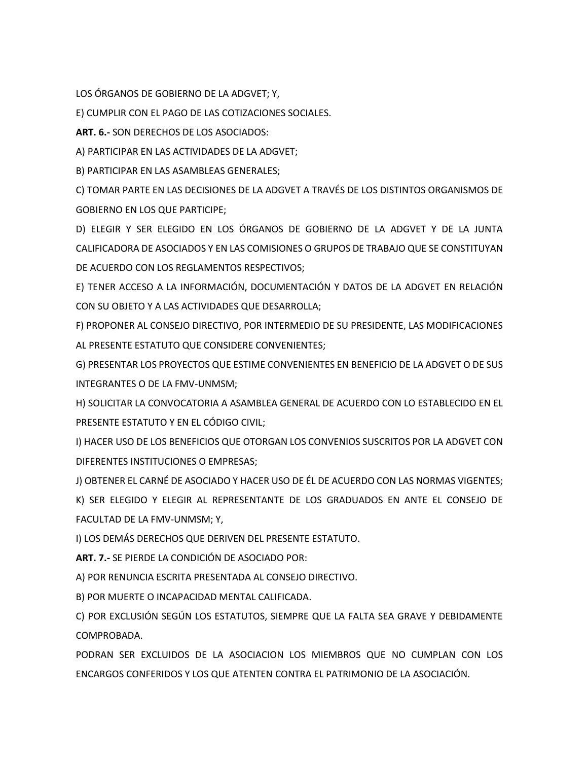LOS ÓRGANOS DE GOBIERNO DE LA ADGVET; Y,

E) CUMPLIR CON EL PAGO DE LAS COTIZACIONES SOCIALES.

**ART. 6.-** SON DERECHOS DE LOS ASOCIADOS:

A) PARTICIPAR EN LAS ACTIVIDADES DE LA ADGVET;

B) PARTICIPAR EN LAS ASAMBLEAS GENERALES;

C) TOMAR PARTE EN LAS DECISIONES DE LA ADGVET A TRAVÉS DE LOS DISTINTOS ORGANISMOS DE GOBIERNO EN LOS QUE PARTICIPE;

D) ELEGIR Y SER ELEGIDO EN LOS ÓRGANOS DE GOBIERNO DE LA ADGVET Y DE LA JUNTA CALIFICADORA DE ASOCIADOS Y EN LAS COMISIONES O GRUPOS DE TRABAJO QUE SE CONSTITUYAN DE ACUERDO CON LOS REGLAMENTOS RESPECTIVOS;

E) TENER ACCESO A LA INFORMACIÓN, DOCUMENTACIÓN Y DATOS DE LA ADGVET EN RELACIÓN CON SU OBJETO Y A LAS ACTIVIDADES QUE DESARROLLA;

F) PROPONER AL CONSEJO DIRECTIVO, POR INTERMEDIO DE SU PRESIDENTE, LAS MODIFICACIONES AL PRESENTE ESTATUTO QUE CONSIDERE CONVENIENTES;

G) PRESENTAR LOS PROYECTOS QUE ESTIME CONVENIENTES EN BENEFICIO DE LA ADGVET O DE SUS INTEGRANTES O DE LA FMV-UNMSM;

H) SOLICITAR LA CONVOCATORIA A ASAMBLEA GENERAL DE ACUERDO CON LO ESTABLECIDO EN EL PRESENTE ESTATUTO Y EN EL CÓDIGO CIVIL;

I) HACER USO DE LOS BENEFICIOS QUE OTORGAN LOS CONVENIOS SUSCRITOS POR LA ADGVET CON DIFERENTES INSTITUCIONES O EMPRESAS;

J) OBTENER EL CARNÉ DE ASOCIADO Y HACER USO DE ÉL DE ACUERDO CON LAS NORMAS VIGENTES;

K) SER ELEGIDO Y ELEGIR AL REPRESENTANTE DE LOS GRADUADOS EN ANTE EL CONSEJO DE FACULTAD DE LA FMV-UNMSM; Y,

I) LOS DEMÁS DERECHOS QUE DERIVEN DEL PRESENTE ESTATUTO.

**ART. 7.-** SE PIERDE LA CONDICIÓN DE ASOCIADO POR:

A) POR RENUNCIA ESCRITA PRESENTADA AL CONSEJO DIRECTIVO.

B) POR MUERTE O INCAPACIDAD MENTAL CALIFICADA.

C) POR EXCLUSIÓN SEGÚN LOS ESTATUTOS, SIEMPRE QUE LA FALTA SEA GRAVE Y DEBIDAMENTE COMPROBADA.

PODRAN SER EXCLUIDOS DE LA ASOCIACION LOS MIEMBROS QUE NO CUMPLAN CON LOS ENCARGOS CONFERIDOS Y LOS QUE ATENTEN CONTRA EL PATRIMONIO DE LA ASOCIACIÓN.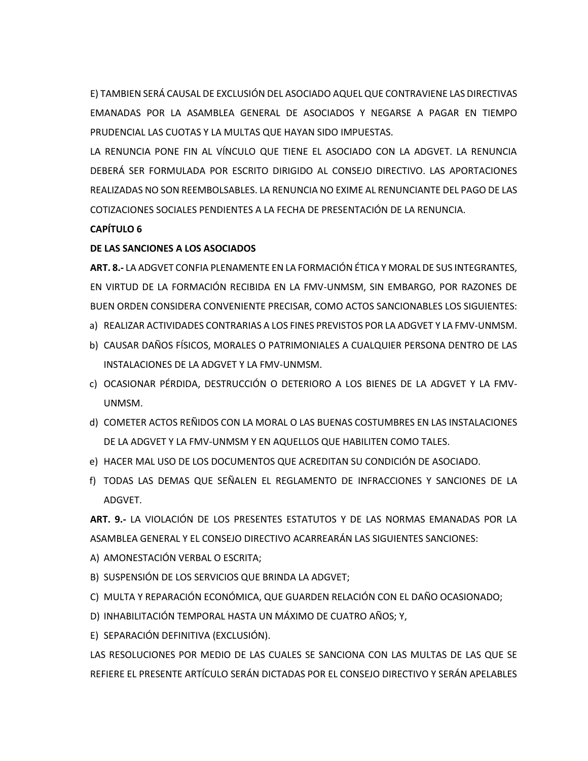E) TAMBIEN SERÁ CAUSAL DE EXCLUSIÓN DEL ASOCIADO AQUEL QUE CONTRAVIENE LAS DIRECTIVAS EMANADAS POR LA ASAMBLEA GENERAL DE ASOCIADOS Y NEGARSE A PAGAR EN TIEMPO PRUDENCIAL LAS CUOTAS Y LA MULTAS QUE HAYAN SIDO IMPUESTAS.

LA RENUNCIA PONE FIN AL VÍNCULO QUE TIENE EL ASOCIADO CON LA ADGVET. LA RENUNCIA DEBERÁ SER FORMULADA POR ESCRITO DIRIGIDO AL CONSEJO DIRECTIVO. LAS APORTACIONES REALIZADAS NO SON REEMBOLSABLES. LA RENUNCIA NO EXIME AL RENUNCIANTE DEL PAGO DE LAS COTIZACIONES SOCIALES PENDIENTES A LA FECHA DE PRESENTACIÓN DE LA RENUNCIA.

# **CAPÍTULO 6**

# **DE LAS SANCIONES A LOS ASOCIADOS**

**ART. 8.-** LA ADGVET CONFIA PLENAMENTE EN LA FORMACIÓN ÉTICA Y MORAL DE SUS INTEGRANTES, EN VIRTUD DE LA FORMACIÓN RECIBIDA EN LA FMV-UNMSM, SIN EMBARGO, POR RAZONES DE BUEN ORDEN CONSIDERA CONVENIENTE PRECISAR, COMO ACTOS SANCIONABLES LOS SIGUIENTES:

- a) REALIZAR ACTIVIDADES CONTRARIAS A LOS FINES PREVISTOS POR LA ADGVET Y LA FMV-UNMSM.
- b) CAUSAR DAÑOS FÍSICOS, MORALES O PATRIMONIALES A CUALQUIER PERSONA DENTRO DE LAS INSTALACIONES DE LA ADGVET Y LA FMV-UNMSM.
- c) OCASIONAR PÉRDIDA, DESTRUCCIÓN O DETERIORO A LOS BIENES DE LA ADGVET Y LA FMV-UNMSM.
- d) COMETER ACTOS REÑIDOS CON LA MORAL O LAS BUENAS COSTUMBRES EN LAS INSTALACIONES DE LA ADGVET Y LA FMV-UNMSM Y EN AQUELLOS QUE HABILITEN COMO TALES.
- e) HACER MAL USO DE LOS DOCUMENTOS QUE ACREDITAN SU CONDICIÓN DE ASOCIADO.
- f) TODAS LAS DEMAS QUE SEÑALEN EL REGLAMENTO DE INFRACCIONES Y SANCIONES DE LA ADGVET.

**ART. 9.-** LA VIOLACIÓN DE LOS PRESENTES ESTATUTOS Y DE LAS NORMAS EMANADAS POR LA ASAMBLEA GENERAL Y EL CONSEJO DIRECTIVO ACARREARÁN LAS SIGUIENTES SANCIONES:

- A) AMONESTACIÓN VERBAL O ESCRITA;
- B) SUSPENSIÓN DE LOS SERVICIOS QUE BRINDA LA ADGVET;
- C) MULTA Y REPARACIÓN ECONÓMICA, QUE GUARDEN RELACIÓN CON EL DAÑO OCASIONADO;
- D) INHABILITACIÓN TEMPORAL HASTA UN MÁXIMO DE CUATRO AÑOS; Y,
- E) SEPARACIÓN DEFINITIVA (EXCLUSIÓN).

LAS RESOLUCIONES POR MEDIO DE LAS CUALES SE SANCIONA CON LAS MULTAS DE LAS QUE SE REFIERE EL PRESENTE ARTÍCULO SERÁN DICTADAS POR EL CONSEJO DIRECTIVO Y SERÁN APELABLES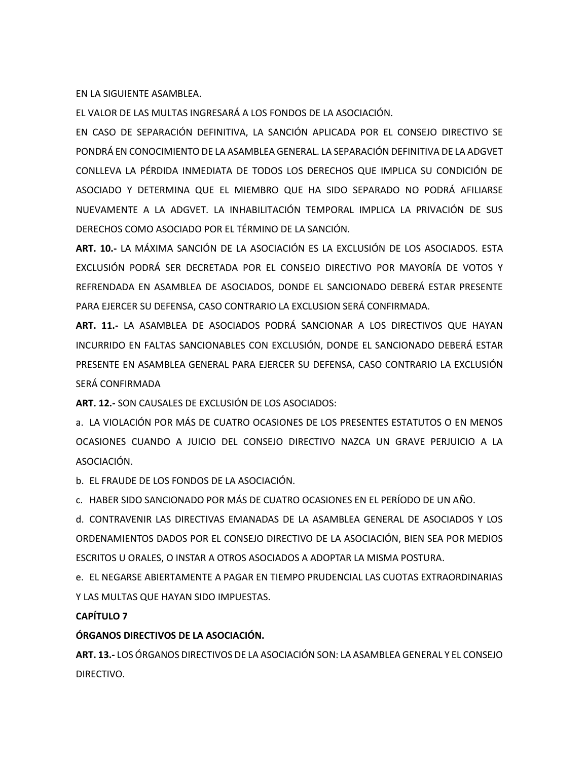EN LA SIGUIENTE ASAMBLEA.

EL VALOR DE LAS MULTAS INGRESARÁ A LOS FONDOS DE LA ASOCIACIÓN.

EN CASO DE SEPARACIÓN DEFINITIVA, LA SANCIÓN APLICADA POR EL CONSEJO DIRECTIVO SE PONDRÁ EN CONOCIMIENTO DE LA ASAMBLEA GENERAL. LA SEPARACIÓN DEFINITIVA DE LA ADGVET CONLLEVA LA PÉRDIDA INMEDIATA DE TODOS LOS DERECHOS QUE IMPLICA SU CONDICIÓN DE ASOCIADO Y DETERMINA QUE EL MIEMBRO QUE HA SIDO SEPARADO NO PODRÁ AFILIARSE NUEVAMENTE A LA ADGVET. LA INHABILITACIÓN TEMPORAL IMPLICA LA PRIVACIÓN DE SUS DERECHOS COMO ASOCIADO POR EL TÉRMINO DE LA SANCIÓN.

**ART. 10.-** LA MÁXIMA SANCIÓN DE LA ASOCIACIÓN ES LA EXCLUSIÓN DE LOS ASOCIADOS. ESTA EXCLUSIÓN PODRÁ SER DECRETADA POR EL CONSEJO DIRECTIVO POR MAYORÍA DE VOTOS Y REFRENDADA EN ASAMBLEA DE ASOCIADOS, DONDE EL SANCIONADO DEBERÁ ESTAR PRESENTE PARA EJERCER SU DEFENSA, CASO CONTRARIO LA EXCLUSION SERÁ CONFIRMADA.

**ART. 11.-** LA ASAMBLEA DE ASOCIADOS PODRÁ SANCIONAR A LOS DIRECTIVOS QUE HAYAN INCURRIDO EN FALTAS SANCIONABLES CON EXCLUSIÓN, DONDE EL SANCIONADO DEBERÁ ESTAR PRESENTE EN ASAMBLEA GENERAL PARA EJERCER SU DEFENSA, CASO CONTRARIO LA EXCLUSIÓN SERÁ CONFIRMADA

**ART. 12.-** SON CAUSALES DE EXCLUSIÓN DE LOS ASOCIADOS:

a. LA VIOLACIÓN POR MÁS DE CUATRO OCASIONES DE LOS PRESENTES ESTATUTOS O EN MENOS OCASIONES CUANDO A JUICIO DEL CONSEJO DIRECTIVO NAZCA UN GRAVE PERJUICIO A LA ASOCIACIÓN.

b. EL FRAUDE DE LOS FONDOS DE LA ASOCIACIÓN.

c. HABER SIDO SANCIONADO POR MÁS DE CUATRO OCASIONES EN EL PERÍODO DE UN AÑO.

d. CONTRAVENIR LAS DIRECTIVAS EMANADAS DE LA ASAMBLEA GENERAL DE ASOCIADOS Y LOS ORDENAMIENTOS DADOS POR EL CONSEJO DIRECTIVO DE LA ASOCIACIÓN, BIEN SEA POR MEDIOS ESCRITOS U ORALES, O INSTAR A OTROS ASOCIADOS A ADOPTAR LA MISMA POSTURA.

e. EL NEGARSE ABIERTAMENTE A PAGAR EN TIEMPO PRUDENCIAL LAS CUOTAS EXTRAORDINARIAS Y LAS MULTAS QUE HAYAN SIDO IMPUESTAS.

## **CAPÍTULO 7**

## **ÓRGANOS DIRECTIVOS DE LA ASOCIACIÓN.**

**ART. 13.-** LOS ÓRGANOS DIRECTIVOS DE LA ASOCIACIÓN SON: LA ASAMBLEA GENERAL Y EL CONSEJO DIRECTIVO.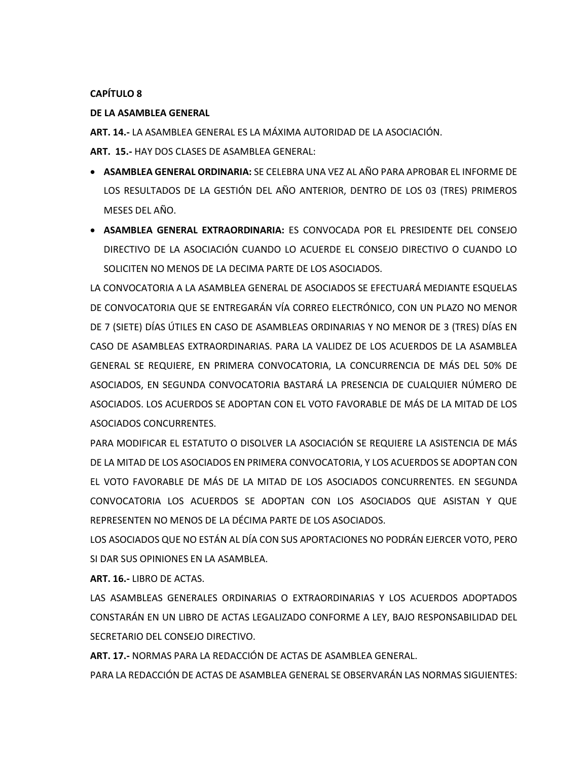## **CAPÍTULO 8**

## **DE LA ASAMBLEA GENERAL**

**ART. 14.-** LA ASAMBLEA GENERAL ES LA MÁXIMA AUTORIDAD DE LA ASOCIACIÓN.

**ART. 15.-** HAY DOS CLASES DE ASAMBLEA GENERAL:

- **ASAMBLEA GENERAL ORDINARIA:** SE CELEBRA UNA VEZ AL AÑO PARA APROBAR EL INFORME DE LOS RESULTADOS DE LA GESTIÓN DEL AÑO ANTERIOR, DENTRO DE LOS 03 (TRES) PRIMEROS MESES DEL AÑO.
- **ASAMBLEA GENERAL EXTRAORDINARIA:** ES CONVOCADA POR EL PRESIDENTE DEL CONSEJO DIRECTIVO DE LA ASOCIACIÓN CUANDO LO ACUERDE EL CONSEJO DIRECTIVO O CUANDO LO SOLICITEN NO MENOS DE LA DECIMA PARTE DE LOS ASOCIADOS.

LA CONVOCATORIA A LA ASAMBLEA GENERAL DE ASOCIADOS SE EFECTUARÁ MEDIANTE ESQUELAS DE CONVOCATORIA QUE SE ENTREGARÁN VÍA CORREO ELECTRÓNICO, CON UN PLAZO NO MENOR DE 7 (SIETE) DÍAS ÚTILES EN CASO DE ASAMBLEAS ORDINARIAS Y NO MENOR DE 3 (TRES) DÍAS EN CASO DE ASAMBLEAS EXTRAORDINARIAS. PARA LA VALIDEZ DE LOS ACUERDOS DE LA ASAMBLEA GENERAL SE REQUIERE, EN PRIMERA CONVOCATORIA, LA CONCURRENCIA DE MÁS DEL 50% DE ASOCIADOS, EN SEGUNDA CONVOCATORIA BASTARÁ LA PRESENCIA DE CUALQUIER NÚMERO DE ASOCIADOS. LOS ACUERDOS SE ADOPTAN CON EL VOTO FAVORABLE DE MÁS DE LA MITAD DE LOS ASOCIADOS CONCURRENTES.

PARA MODIFICAR EL ESTATUTO O DISOLVER LA ASOCIACIÓN SE REQUIERE LA ASISTENCIA DE MÁS DE LA MITAD DE LOS ASOCIADOS EN PRIMERA CONVOCATORIA, Y LOS ACUERDOS SE ADOPTAN CON EL VOTO FAVORABLE DE MÁS DE LA MITAD DE LOS ASOCIADOS CONCURRENTES. EN SEGUNDA CONVOCATORIA LOS ACUERDOS SE ADOPTAN CON LOS ASOCIADOS QUE ASISTAN Y QUE REPRESENTEN NO MENOS DE LA DÉCIMA PARTE DE LOS ASOCIADOS.

LOS ASOCIADOS QUE NO ESTÁN AL DÍA CON SUS APORTACIONES NO PODRÁN EJERCER VOTO, PERO SI DAR SUS OPINIONES EN LA ASAMBLEA.

**ART. 16.-** LIBRO DE ACTAS.

LAS ASAMBLEAS GENERALES ORDINARIAS O EXTRAORDINARIAS Y LOS ACUERDOS ADOPTADOS CONSTARÁN EN UN LIBRO DE ACTAS LEGALIZADO CONFORME A LEY, BAJO RESPONSABILIDAD DEL SECRETARIO DEL CONSEJO DIRECTIVO.

**ART. 17.-** NORMAS PARA LA REDACCIÓN DE ACTAS DE ASAMBLEA GENERAL.

PARA LA REDACCIÓN DE ACTAS DE ASAMBLEA GENERAL SE OBSERVARÁN LAS NORMAS SIGUIENTES: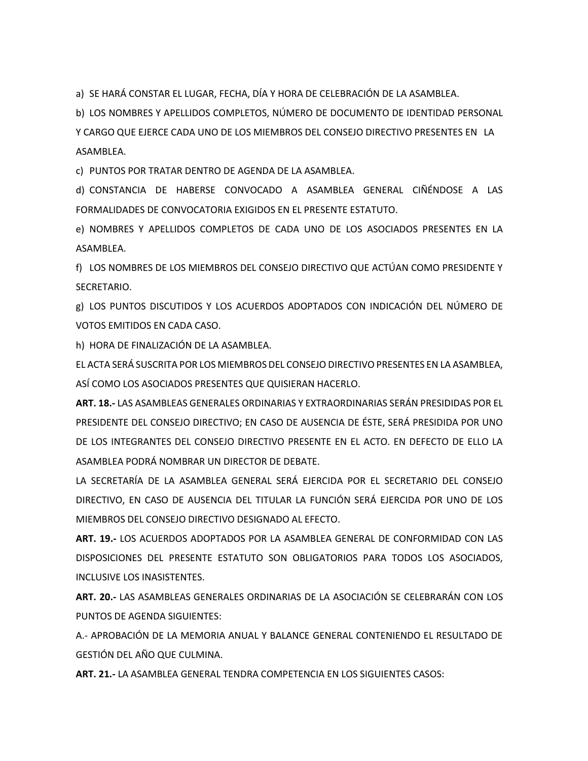a) SE HARÁ CONSTAR EL LUGAR, FECHA, DÍA Y HORA DE CELEBRACIÓN DE LA ASAMBLEA.

b) LOS NOMBRES Y APELLIDOS COMPLETOS, NÚMERO DE DOCUMENTO DE IDENTIDAD PERSONAL

Y CARGO QUE EJERCE CADA UNO DE LOS MIEMBROS DEL CONSEJO DIRECTIVO PRESENTES EN LA ASAMBLEA.

c) PUNTOS POR TRATAR DENTRO DE AGENDA DE LA ASAMBLEA.

d) CONSTANCIA DE HABERSE CONVOCADO A ASAMBLEA GENERAL CIÑÉNDOSE A LAS FORMALIDADES DE CONVOCATORIA EXIGIDOS EN EL PRESENTE ESTATUTO.

e) NOMBRES Y APELLIDOS COMPLETOS DE CADA UNO DE LOS ASOCIADOS PRESENTES EN LA ASAMBLEA.

f) LOS NOMBRES DE LOS MIEMBROS DEL CONSEJO DIRECTIVO QUE ACTÚAN COMO PRESIDENTE Y SECRETARIO.

g) LOS PUNTOS DISCUTIDOS Y LOS ACUERDOS ADOPTADOS CON INDICACIÓN DEL NÚMERO DE VOTOS EMITIDOS EN CADA CASO.

h) HORA DE FINALIZACIÓN DE LA ASAMBLEA.

EL ACTA SERÁ SUSCRITA POR LOS MIEMBROS DEL CONSEJO DIRECTIVO PRESENTES EN LA ASAMBLEA, ASÍ COMO LOS ASOCIADOS PRESENTES QUE QUISIERAN HACERLO.

**ART. 18.-** LAS ASAMBLEAS GENERALES ORDINARIAS Y EXTRAORDINARIAS SERÁN PRESIDIDAS POR EL PRESIDENTE DEL CONSEJO DIRECTIVO; EN CASO DE AUSENCIA DE ÉSTE, SERÁ PRESIDIDA POR UNO DE LOS INTEGRANTES DEL CONSEJO DIRECTIVO PRESENTE EN EL ACTO. EN DEFECTO DE ELLO LA ASAMBLEA PODRÁ NOMBRAR UN DIRECTOR DE DEBATE.

LA SECRETARÍA DE LA ASAMBLEA GENERAL SERÁ EJERCIDA POR EL SECRETARIO DEL CONSEJO DIRECTIVO, EN CASO DE AUSENCIA DEL TITULAR LA FUNCIÓN SERÁ EJERCIDA POR UNO DE LOS MIEMBROS DEL CONSEJO DIRECTIVO DESIGNADO AL EFECTO.

**ART. 19.-** LOS ACUERDOS ADOPTADOS POR LA ASAMBLEA GENERAL DE CONFORMIDAD CON LAS DISPOSICIONES DEL PRESENTE ESTATUTO SON OBLIGATORIOS PARA TODOS LOS ASOCIADOS, INCLUSIVE LOS INASISTENTES.

**ART. 20.-** LAS ASAMBLEAS GENERALES ORDINARIAS DE LA ASOCIACIÓN SE CELEBRARÁN CON LOS PUNTOS DE AGENDA SIGUIENTES:

A.- APROBACIÓN DE LA MEMORIA ANUAL Y BALANCE GENERAL CONTENIENDO EL RESULTADO DE GESTIÓN DEL AÑO QUE CULMINA.

**ART. 21.-** LA ASAMBLEA GENERAL TENDRA COMPETENCIA EN LOS SIGUIENTES CASOS: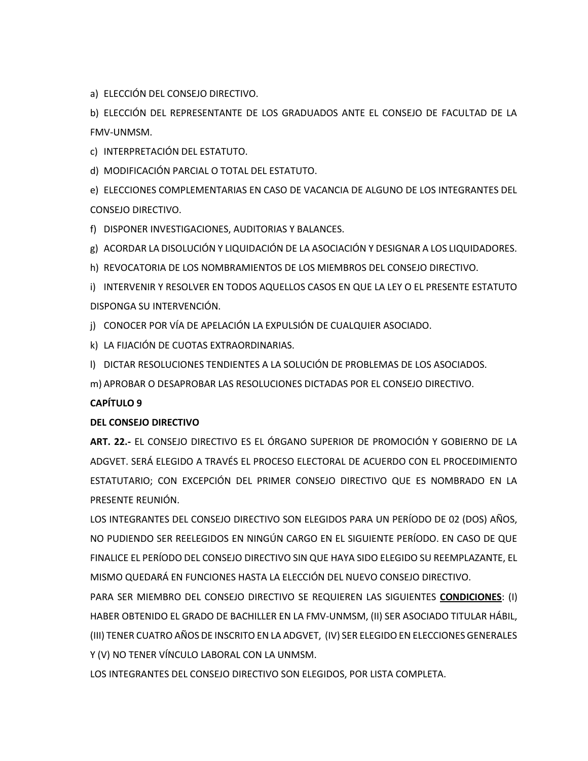a) ELECCIÓN DEL CONSEJO DIRECTIVO.

b) ELECCIÓN DEL REPRESENTANTE DE LOS GRADUADOS ANTE EL CONSEJO DE FACULTAD DE LA FMV-UNMSM.

c) INTERPRETACIÓN DEL ESTATUTO.

d) MODIFICACIÓN PARCIAL O TOTAL DEL ESTATUTO.

e) ELECCIONES COMPLEMENTARIAS EN CASO DE VACANCIA DE ALGUNO DE LOS INTEGRANTES DEL CONSEJO DIRECTIVO.

f) DISPONER INVESTIGACIONES, AUDITORIAS Y BALANCES.

g) ACORDAR LA DISOLUCIÓN Y LIQUIDACIÓN DE LA ASOCIACIÓN Y DESIGNAR A LOS LIQUIDADORES.

h) REVOCATORIA DE LOS NOMBRAMIENTOS DE LOS MIEMBROS DEL CONSEJO DIRECTIVO.

i) INTERVENIR Y RESOLVER EN TODOS AQUELLOS CASOS EN QUE LA LEY O EL PRESENTE ESTATUTO DISPONGA SU INTERVENCIÓN.

j) CONOCER POR VÍA DE APELACIÓN LA EXPULSIÓN DE CUALQUIER ASOCIADO.

k) LA FIJACIÓN DE CUOTAS EXTRAORDINARIAS.

l) DICTAR RESOLUCIONES TENDIENTES A LA SOLUCIÓN DE PROBLEMAS DE LOS ASOCIADOS.

m) APROBAR O DESAPROBAR LAS RESOLUCIONES DICTADAS POR EL CONSEJO DIRECTIVO.

## **CAPÍTULO 9**

## **DEL CONSEJO DIRECTIVO**

**ART. 22.-** EL CONSEJO DIRECTIVO ES EL ÓRGANO SUPERIOR DE PROMOCIÓN Y GOBIERNO DE LA ADGVET. SERÁ ELEGIDO A TRAVÉS EL PROCESO ELECTORAL DE ACUERDO CON EL PROCEDIMIENTO ESTATUTARIO; CON EXCEPCIÓN DEL PRIMER CONSEJO DIRECTIVO QUE ES NOMBRADO EN LA PRESENTE REUNIÓN.

LOS INTEGRANTES DEL CONSEJO DIRECTIVO SON ELEGIDOS PARA UN PERÍODO DE 02 (DOS) AÑOS, NO PUDIENDO SER REELEGIDOS EN NINGÚN CARGO EN EL SIGUIENTE PERÍODO. EN CASO DE QUE FINALICE EL PERÍODO DEL CONSEJO DIRECTIVO SIN QUE HAYA SIDO ELEGIDO SU REEMPLAZANTE, EL MISMO QUEDARÁ EN FUNCIONES HASTA LA ELECCIÓN DEL NUEVO CONSEJO DIRECTIVO.

PARA SER MIEMBRO DEL CONSEJO DIRECTIVO SE REQUIEREN LAS SIGUIENTES **CONDICIONES**: (I) HABER OBTENIDO EL GRADO DE BACHILLER EN LA FMV-UNMSM, (II) SER ASOCIADO TITULAR HÁBIL, (III) TENER CUATRO AÑOS DE INSCRITO EN LA ADGVET, (IV) SER ELEGIDO EN ELECCIONES GENERALES Y (V) NO TENER VÍNCULO LABORAL CON LA UNMSM.

LOS INTEGRANTES DEL CONSEJO DIRECTIVO SON ELEGIDOS, POR LISTA COMPLETA.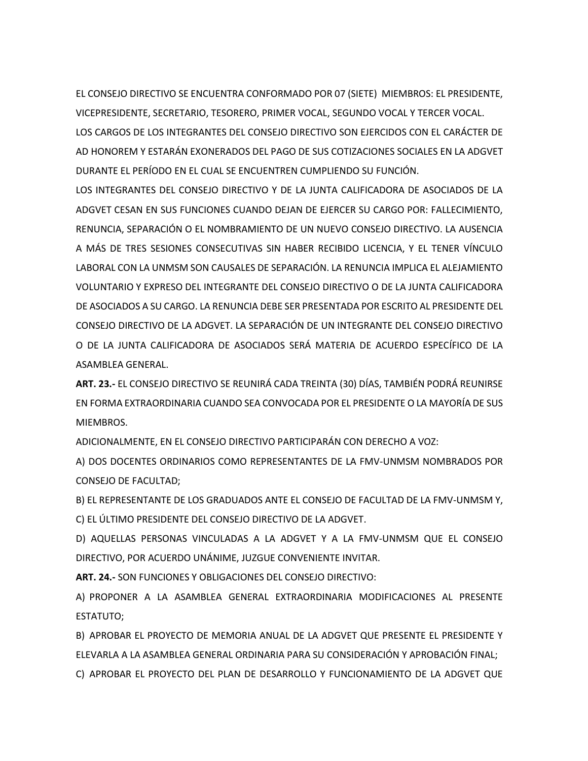EL CONSEJO DIRECTIVO SE ENCUENTRA CONFORMADO POR 07 (SIETE) MIEMBROS: EL PRESIDENTE, VICEPRESIDENTE, SECRETARIO, TESORERO, PRIMER VOCAL, SEGUNDO VOCAL Y TERCER VOCAL. LOS CARGOS DE LOS INTEGRANTES DEL CONSEJO DIRECTIVO SON EJERCIDOS CON EL CARÁCTER DE AD HONOREM Y ESTARÁN EXONERADOS DEL PAGO DE SUS COTIZACIONES SOCIALES EN LA ADGVET DURANTE EL PERÍODO EN EL CUAL SE ENCUENTREN CUMPLIENDO SU FUNCIÓN.

LOS INTEGRANTES DEL CONSEJO DIRECTIVO Y DE LA JUNTA CALIFICADORA DE ASOCIADOS DE LA ADGVET CESAN EN SUS FUNCIONES CUANDO DEJAN DE EJERCER SU CARGO POR: FALLECIMIENTO, RENUNCIA, SEPARACIÓN O EL NOMBRAMIENTO DE UN NUEVO CONSEJO DIRECTIVO. LA AUSENCIA A MÁS DE TRES SESIONES CONSECUTIVAS SIN HABER RECIBIDO LICENCIA, Y EL TENER VÍNCULO LABORAL CON LA UNMSM SON CAUSALES DE SEPARACIÓN. LA RENUNCIA IMPLICA EL ALEJAMIENTO VOLUNTARIO Y EXPRESO DEL INTEGRANTE DEL CONSEJO DIRECTIVO O DE LA JUNTA CALIFICADORA DE ASOCIADOS A SU CARGO. LA RENUNCIA DEBE SER PRESENTADA POR ESCRITO AL PRESIDENTE DEL CONSEJO DIRECTIVO DE LA ADGVET. LA SEPARACIÓN DE UN INTEGRANTE DEL CONSEJO DIRECTIVO O DE LA JUNTA CALIFICADORA DE ASOCIADOS SERÁ MATERIA DE ACUERDO ESPECÍFICO DE LA ASAMBLEA GENERAL.

**ART. 23.-** EL CONSEJO DIRECTIVO SE REUNIRÁ CADA TREINTA (30) DÍAS, TAMBIÉN PODRÁ REUNIRSE EN FORMA EXTRAORDINARIA CUANDO SEA CONVOCADA POR EL PRESIDENTE O LA MAYORÍA DE SUS MIEMBROS.

ADICIONALMENTE, EN EL CONSEJO DIRECTIVO PARTICIPARÁN CON DERECHO A VOZ:

A) DOS DOCENTES ORDINARIOS COMO REPRESENTANTES DE LA FMV-UNMSM NOMBRADOS POR CONSEJO DE FACULTAD;

B) EL REPRESENTANTE DE LOS GRADUADOS ANTE EL CONSEJO DE FACULTAD DE LA FMV-UNMSM Y, C) EL ÚLTIMO PRESIDENTE DEL CONSEJO DIRECTIVO DE LA ADGVET.

D) AQUELLAS PERSONAS VINCULADAS A LA ADGVET Y A LA FMV-UNMSM QUE EL CONSEJO DIRECTIVO, POR ACUERDO UNÁNIME, JUZGUE CONVENIENTE INVITAR.

**ART. 24.-** SON FUNCIONES Y OBLIGACIONES DEL CONSEJO DIRECTIVO:

A) PROPONER A LA ASAMBLEA GENERAL EXTRAORDINARIA MODIFICACIONES AL PRESENTE ESTATUTO;

B) APROBAR EL PROYECTO DE MEMORIA ANUAL DE LA ADGVET QUE PRESENTE EL PRESIDENTE Y ELEVARLA A LA ASAMBLEA GENERAL ORDINARIA PARA SU CONSIDERACIÓN Y APROBACIÓN FINAL; C) APROBAR EL PROYECTO DEL PLAN DE DESARROLLO Y FUNCIONAMIENTO DE LA ADGVET QUE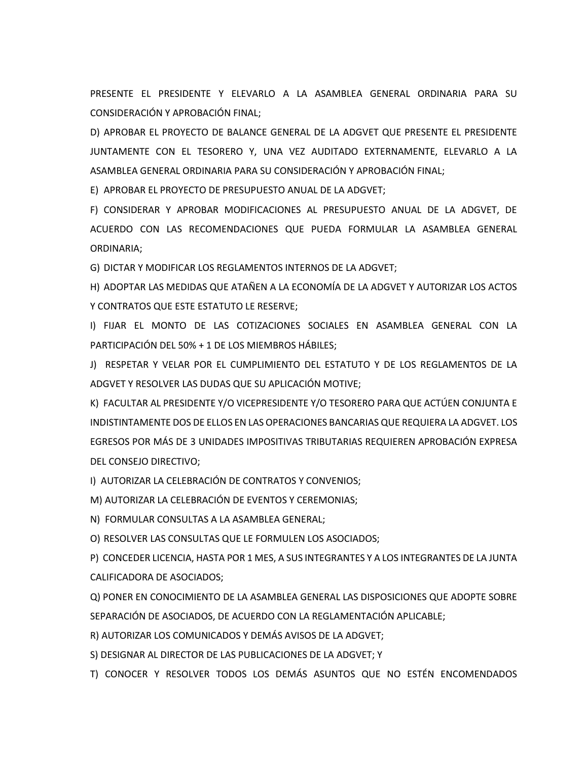PRESENTE EL PRESIDENTE Y ELEVARLO A LA ASAMBLEA GENERAL ORDINARIA PARA SU CONSIDERACIÓN Y APROBACIÓN FINAL;

D) APROBAR EL PROYECTO DE BALANCE GENERAL DE LA ADGVET QUE PRESENTE EL PRESIDENTE JUNTAMENTE CON EL TESORERO Y, UNA VEZ AUDITADO EXTERNAMENTE, ELEVARLO A LA ASAMBLEA GENERAL ORDINARIA PARA SU CONSIDERACIÓN Y APROBACIÓN FINAL;

E) APROBAR EL PROYECTO DE PRESUPUESTO ANUAL DE LA ADGVET;

F) CONSIDERAR Y APROBAR MODIFICACIONES AL PRESUPUESTO ANUAL DE LA ADGVET, DE ACUERDO CON LAS RECOMENDACIONES QUE PUEDA FORMULAR LA ASAMBLEA GENERAL ORDINARIA;

G) DICTAR Y MODIFICAR LOS REGLAMENTOS INTERNOS DE LA ADGVET;

H) ADOPTAR LAS MEDIDAS QUE ATAÑEN A LA ECONOMÍA DE LA ADGVET Y AUTORIZAR LOS ACTOS Y CONTRATOS QUE ESTE ESTATUTO LE RESERVE;

I) FIJAR EL MONTO DE LAS COTIZACIONES SOCIALES EN ASAMBLEA GENERAL CON LA PARTICIPACIÓN DEL 50% + 1 DE LOS MIEMBROS HÁBILES;

J) RESPETAR Y VELAR POR EL CUMPLIMIENTO DEL ESTATUTO Y DE LOS REGLAMENTOS DE LA ADGVET Y RESOLVER LAS DUDAS QUE SU APLICACIÓN MOTIVE;

K) FACULTAR AL PRESIDENTE Y/O VICEPRESIDENTE Y/O TESORERO PARA QUE ACTÚEN CONJUNTA E INDISTINTAMENTE DOS DE ELLOS EN LAS OPERACIONES BANCARIAS QUE REQUIERA LA ADGVET. LOS EGRESOS POR MÁS DE 3 UNIDADES IMPOSITIVAS TRIBUTARIAS REQUIEREN APROBACIÓN EXPRESA DEL CONSEJO DIRECTIVO;

I) AUTORIZAR LA CELEBRACIÓN DE CONTRATOS Y CONVENIOS;

M) AUTORIZAR LA CELEBRACIÓN DE EVENTOS Y CEREMONIAS;

N) FORMULAR CONSULTAS A LA ASAMBLEA GENERAL;

O) RESOLVER LAS CONSULTAS QUE LE FORMULEN LOS ASOCIADOS;

P) CONCEDER LICENCIA, HASTA POR 1 MES, A SUS INTEGRANTES Y A LOS INTEGRANTES DE LA JUNTA CALIFICADORA DE ASOCIADOS;

Q) PONER EN CONOCIMIENTO DE LA ASAMBLEA GENERAL LAS DISPOSICIONES QUE ADOPTE SOBRE SEPARACIÓN DE ASOCIADOS, DE ACUERDO CON LA REGLAMENTACIÓN APLICABLE;

R) AUTORIZAR LOS COMUNICADOS Y DEMÁS AVISOS DE LA ADGVET;

S) DESIGNAR AL DIRECTOR DE LAS PUBLICACIONES DE LA ADGVET; Y

T) CONOCER Y RESOLVER TODOS LOS DEMÁS ASUNTOS QUE NO ESTÉN ENCOMENDADOS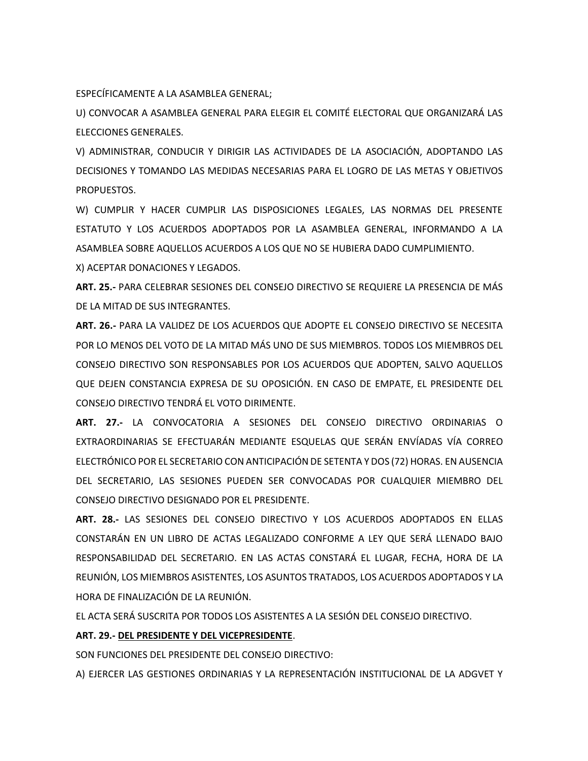ESPECÍFICAMENTE A LA ASAMBLEA GENERAL;

U) CONVOCAR A ASAMBLEA GENERAL PARA ELEGIR EL COMITÉ ELECTORAL QUE ORGANIZARÁ LAS ELECCIONES GENERALES.

V) ADMINISTRAR, CONDUCIR Y DIRIGIR LAS ACTIVIDADES DE LA ASOCIACIÓN, ADOPTANDO LAS DECISIONES Y TOMANDO LAS MEDIDAS NECESARIAS PARA EL LOGRO DE LAS METAS Y OBJETIVOS PROPUESTOS.

W) CUMPLIR Y HACER CUMPLIR LAS DISPOSICIONES LEGALES, LAS NORMAS DEL PRESENTE ESTATUTO Y LOS ACUERDOS ADOPTADOS POR LA ASAMBLEA GENERAL, INFORMANDO A LA ASAMBLEA SOBRE AQUELLOS ACUERDOS A LOS QUE NO SE HUBIERA DADO CUMPLIMIENTO. X) ACEPTAR DONACIONES Y LEGADOS.

**ART. 25.-** PARA CELEBRAR SESIONES DEL CONSEJO DIRECTIVO SE REQUIERE LA PRESENCIA DE MÁS DE LA MITAD DE SUS INTEGRANTES.

**ART. 26.-** PARA LA VALIDEZ DE LOS ACUERDOS QUE ADOPTE EL CONSEJO DIRECTIVO SE NECESITA POR LO MENOS DEL VOTO DE LA MITAD MÁS UNO DE SUS MIEMBROS. TODOS LOS MIEMBROS DEL CONSEJO DIRECTIVO SON RESPONSABLES POR LOS ACUERDOS QUE ADOPTEN, SALVO AQUELLOS QUE DEJEN CONSTANCIA EXPRESA DE SU OPOSICIÓN. EN CASO DE EMPATE, EL PRESIDENTE DEL CONSEJO DIRECTIVO TENDRÁ EL VOTO DIRIMENTE.

**ART. 27.-** LA CONVOCATORIA A SESIONES DEL CONSEJO DIRECTIVO ORDINARIAS O EXTRAORDINARIAS SE EFECTUARÁN MEDIANTE ESQUELAS QUE SERÁN ENVÍADAS VÍA CORREO ELECTRÓNICOPOR EL SECRETARIO CON ANTICIPACIÓN DE SETENTA Y DOS (72) HORAS. EN AUSENCIA DEL SECRETARIO, LAS SESIONES PUEDEN SER CONVOCADAS POR CUALQUIER MIEMBRO DEL CONSEJO DIRECTIVO DESIGNADO POR EL PRESIDENTE.

**ART. 28.-** LAS SESIONES DEL CONSEJO DIRECTIVO Y LOS ACUERDOS ADOPTADOS EN ELLAS CONSTARÁN EN UN LIBRO DE ACTAS LEGALIZADO CONFORME A LEY QUE SERÁ LLENADO BAJO RESPONSABILIDAD DEL SECRETARIO. EN LAS ACTAS CONSTARÁ EL LUGAR, FECHA, HORA DE LA REUNIÓN, LOS MIEMBROS ASISTENTES, LOS ASUNTOS TRATADOS, LOS ACUERDOS ADOPTADOS Y LA HORA DE FINALIZACIÓN DE LA REUNIÓN.

EL ACTA SERÁ SUSCRITA POR TODOS LOS ASISTENTES A LA SESIÓN DEL CONSEJO DIRECTIVO.

#### **ART. 29.- DEL PRESIDENTE Y DEL VICEPRESIDENTE**.

SON FUNCIONES DEL PRESIDENTE DEL CONSEJO DIRECTIVO:

A) EJERCER LAS GESTIONES ORDINARIAS Y LA REPRESENTACIÓN INSTITUCIONAL DE LA ADGVET Y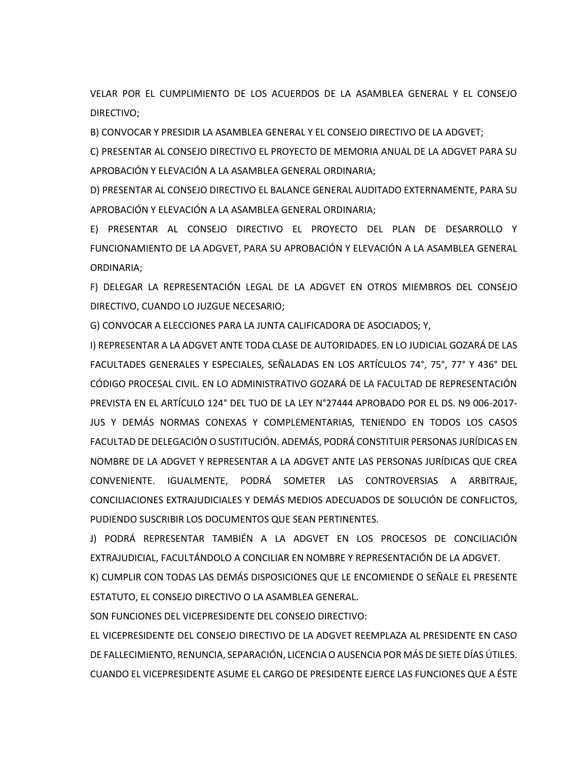VELAR POR EL CUMPLIMIENTO DE LOS ACUERDOS DE LA ASAMBLEA GENERAL Y EL CONSEJO DIRECTIVO;

B) CONVOCAR Y PRESIDIR LA ASAMBLEA GENERAL Y EL CONSEJO DIRECTIVO DE LA ADGVET;

C) PRESENTAR AL CONSEJO DIRECTIVO EL PROYECTO DE MEMORIA ANUAL DE LA ADGVET PARA SU APROBACIÓN Y ELEVACIÓN A LA ASAMBLEA GENERAL ORDINARIA;

D) PRESENTAR AL CONSEJO DIRECTIVO EL BALANCE GENERAL AUDITADO EXTERNAMENTE, PARA SU APROBACIÓN Y ELEVACIÓN A LA ASAMBLEA GENERAL ORDINARIA;

E) PRESENTAR AL CONSEJO DIRECTIVO EL PROYECTO DEL PLAN DE DESARROLLO Y FUNCIONAMIENTO DE LA ADGVET, PARA SU APROBACIÓN Y ELEVACIÓN A LA ASAMBLEA GENERAL ORDINARIA;

F) DELEGAR LA REPRESENTACIÓN LEGAL DE LA ADGVET EN OTROS MIEMBROS DEL CONSEJO DIRECTIVO, CUANDO LO JUZGUE NECESARIO;

G) CONVOCAR A ELECCIONES PARA LA JUNTA CALIFICADORA DE ASOCIADOS; Y,

I) REPRESENTAR A LA ADGVET ANTE TODA CLASE DE AUTORIDADES. EN LO JUDICIAL GOZARÁ DE LAS FACULTADES GENERALES Y ESPECIALES, SEÑALADAS EN LOS ARTÍCULOS 74°, 75°, 77° Y 436° DEL CÓDIGO PROCESAL CIVIL. EN LO ADMINISTRATIVO GOZARÁ DE LA FACULTAD DE REPRESENTACIÓN PREVISTA EN EL ARTÍCULO 124° DEL TUO DE LA LEY N°27444 APROBADO POR EL DS. N9 006-2017- JUS Y DEMÁS NORMAS CONEXAS Y COMPLEMENTARIAS, TENIENDO EN TODOS LOS CASOS FACULTAD DE DELEGACIÓN O SUSTITUCIÓN. ADEMÁS, PODRÁ CONSTITUIR PERSONAS JURÍDICAS EN NOMBRE DE LA ADGVET Y REPRESENTAR A LA ADGVET ANTE LAS PERSONAS JURÍDICAS QUE CREA CONVENIENTE. IGUALMENTE, PODRÁ SOMETER LAS CONTROVERSIAS A ARBITRAJE, CONCILIACIONES EXTRAJUDICIALES Y DEMÁS MEDIOS ADECUADOS DE SOLUCIÓN DE CONFLICTOS, PUDIENDO SUSCRIBIR LOS DOCUMENTOS QUE SEAN PERTINENTES.

J) PODRÁ REPRESENTAR TAMBIÉN A LA ADGVET EN LOS PROCESOS DE CONCILIACIÓN EXTRAJUDICIAL, FACULTÁNDOLO A CONCILIAR EN NOMBRE Y REPRESENTACIÓN DE LA ADGVET.

K) CUMPLIR CON TODAS LAS DEMÁS DISPOSICIONES QUE LE ENCOMIENDE O SEÑALE EL PRESENTE ESTATUTO, EL CONSEJO DIRECTIVO O LA ASAMBLEA GENERAL.

SON FUNCIONES DEL VICEPRESIDENTE DEL CONSEJO DIRECTIVO:

EL VICEPRESIDENTE DEL CONSEJO DIRECTIVO DE LA ADGVET REEMPLAZA AL PRESIDENTE EN CASO DE FALLECIMIENTO, RENUNCIA, SEPARACIÓN, LICENCIA O AUSENCIA POR MÁS DE SIETE DÍAS ÚTILES. CUANDO EL VICEPRESIDENTE ASUME EL CARGO DE PRESIDENTE EJERCE LAS FUNCIONES QUE A ÉSTE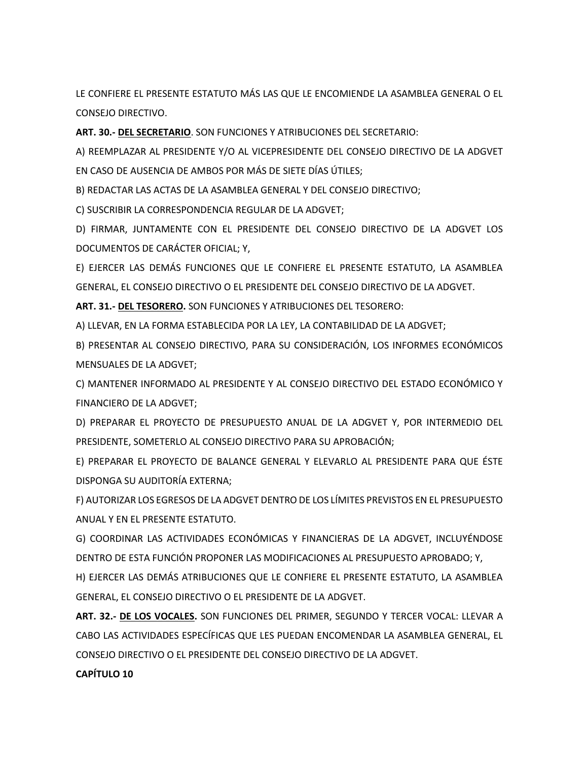LE CONFIERE EL PRESENTE ESTATUTO MÁS LAS QUE LE ENCOMIENDE LA ASAMBLEA GENERAL O EL CONSEJO DIRECTIVO.

**ART. 30.- DEL SECRETARIO**. SON FUNCIONES Y ATRIBUCIONES DEL SECRETARIO:

A) REEMPLAZAR AL PRESIDENTE Y/O AL VICEPRESIDENTE DEL CONSEJO DIRECTIVO DE LA ADGVET EN CASO DE AUSENCIA DE AMBOS POR MÁS DE SIETE DÍAS ÚTILES;

B) REDACTAR LAS ACTAS DE LA ASAMBLEA GENERAL Y DEL CONSEJO DIRECTIVO;

C) SUSCRIBIR LA CORRESPONDENCIA REGULAR DE LA ADGVET;

D) FIRMAR, JUNTAMENTE CON EL PRESIDENTE DEL CONSEJO DIRECTIVO DE LA ADGVET LOS DOCUMENTOS DE CARÁCTER OFICIAL; Y,

E) EJERCER LAS DEMÁS FUNCIONES QUE LE CONFIERE EL PRESENTE ESTATUTO, LA ASAMBLEA GENERAL, EL CONSEJO DIRECTIVO O EL PRESIDENTE DEL CONSEJO DIRECTIVO DE LA ADGVET.

**ART. 31.- DEL TESORERO.** SON FUNCIONES Y ATRIBUCIONES DEL TESORERO:

A) LLEVAR, EN LA FORMA ESTABLECIDA POR LA LEY, LA CONTABILIDAD DE LA ADGVET;

B) PRESENTAR AL CONSEJO DIRECTIVO, PARA SU CONSIDERACIÓN, LOS INFORMES ECONÓMICOS MENSUALES DE LA ADGVET;

C) MANTENER INFORMADO AL PRESIDENTE Y AL CONSEJO DIRECTIVO DEL ESTADO ECONÓMICO Y FINANCIERO DE LA ADGVET;

D) PREPARAR EL PROYECTO DE PRESUPUESTO ANUAL DE LA ADGVET Y, POR INTERMEDIO DEL PRESIDENTE, SOMETERLO AL CONSEJO DIRECTIVO PARA SU APROBACIÓN;

E) PREPARAR EL PROYECTO DE BALANCE GENERAL Y ELEVARLO AL PRESIDENTE PARA QUE ÉSTE DISPONGA SU AUDITORÍA EXTERNA;

F) AUTORIZAR LOS EGRESOS DE LA ADGVET DENTRO DE LOS LÍMITES PREVISTOS EN EL PRESUPUESTO ANUAL Y EN EL PRESENTE ESTATUTO.

G) COORDINAR LAS ACTIVIDADES ECONÓMICAS Y FINANCIERAS DE LA ADGVET, INCLUYÉNDOSE DENTRO DE ESTA FUNCIÓN PROPONER LAS MODIFICACIONES AL PRESUPUESTO APROBADO; Y,

H) EJERCER LAS DEMÁS ATRIBUCIONES QUE LE CONFIERE EL PRESENTE ESTATUTO, LA ASAMBLEA GENERAL, EL CONSEJO DIRECTIVO O EL PRESIDENTE DE LA ADGVET.

**ART. 32.- DE LOS VOCALES.** SON FUNCIONES DEL PRIMER, SEGUNDO Y TERCER VOCAL: LLEVAR A CABO LAS ACTIVIDADES ESPECÍFICAS QUE LES PUEDAN ENCOMENDAR LA ASAMBLEA GENERAL, EL CONSEJO DIRECTIVO O EL PRESIDENTE DEL CONSEJO DIRECTIVO DE LA ADGVET.

# **CAPÍTULO 10**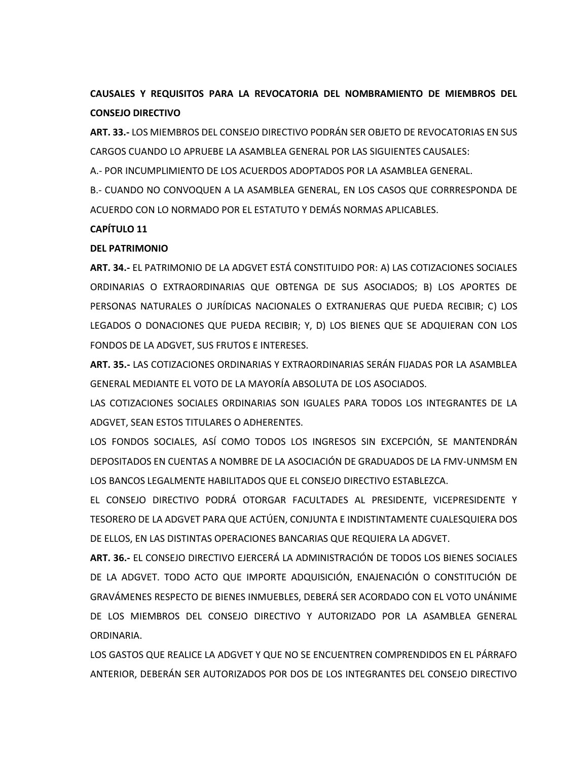# **CAUSALES Y REQUISITOS PARA LA REVOCATORIA DEL NOMBRAMIENTO DE MIEMBROS DEL CONSEJO DIRECTIVO**

**ART. 33.-** LOS MIEMBROS DEL CONSEJO DIRECTIVO PODRÁN SER OBJETO DE REVOCATORIAS EN SUS CARGOS CUANDO LO APRUEBE LA ASAMBLEA GENERAL POR LAS SIGUIENTES CAUSALES:

A.- POR INCUMPLIMIENTO DE LOS ACUERDOS ADOPTADOS POR LA ASAMBLEA GENERAL.

B.- CUANDO NO CONVOQUEN A LA ASAMBLEA GENERAL, EN LOS CASOS QUE CORRRESPONDA DE ACUERDO CON LO NORMADO POR EL ESTATUTO Y DEMÁS NORMAS APLICABLES.

## **CAPÍTULO 11**

# **DEL PATRIMONIO**

**ART. 34.-** EL PATRIMONIO DE LA ADGVET ESTÁ CONSTITUIDO POR: A) LAS COTIZACIONES SOCIALES ORDINARIAS O EXTRAORDINARIAS QUE OBTENGA DE SUS ASOCIADOS; B) LOS APORTES DE PERSONAS NATURALES O JURÍDICAS NACIONALES O EXTRANJERAS QUE PUEDA RECIBIR; C) LOS LEGADOS O DONACIONES QUE PUEDA RECIBIR; Y, D) LOS BIENES QUE SE ADQUIERAN CON LOS FONDOS DE LA ADGVET, SUS FRUTOS E INTERESES.

**ART. 35.-** LAS COTIZACIONES ORDINARIAS Y EXTRAORDINARIAS SERÁN FIJADAS POR LA ASAMBLEA GENERAL MEDIANTE EL VOTO DE LA MAYORÍA ABSOLUTA DE LOS ASOCIADOS.

LAS COTIZACIONES SOCIALES ORDINARIAS SON IGUALES PARA TODOS LOS INTEGRANTES DE LA ADGVET, SEAN ESTOS TITULARES O ADHERENTES.

LOS FONDOS SOCIALES, ASÍ COMO TODOS LOS INGRESOS SIN EXCEPCIÓN, SE MANTENDRÁN DEPOSITADOS EN CUENTAS A NOMBRE DE LA ASOCIACIÓN DE GRADUADOS DE LA FMV-UNMSM EN LOS BANCOS LEGALMENTE HABILITADOS QUE EL CONSEJO DIRECTIVO ESTABLEZCA.

EL CONSEJO DIRECTIVO PODRÁ OTORGAR FACULTADES AL PRESIDENTE, VICEPRESIDENTE Y TESORERO DE LA ADGVET PARA QUE ACTÚEN, CONJUNTA E INDISTINTAMENTE CUALESQUIERA DOS DE ELLOS, EN LAS DISTINTAS OPERACIONES BANCARIAS QUE REQUIERA LA ADGVET.

**ART. 36.-** EL CONSEJO DIRECTIVO EJERCERÁ LA ADMINISTRACIÓN DE TODOS LOS BIENES SOCIALES DE LA ADGVET. TODO ACTO QUE IMPORTE ADQUISICIÓN, ENAJENACIÓN O CONSTITUCIÓN DE GRAVÁMENES RESPECTO DE BIENES INMUEBLES, DEBERÁ SER ACORDADO CON EL VOTO UNÁNIME DE LOS MIEMBROS DEL CONSEJO DIRECTIVO Y AUTORIZADO POR LA ASAMBLEA GENERAL ORDINARIA.

LOS GASTOS QUE REALICE LA ADGVET Y QUE NO SE ENCUENTREN COMPRENDIDOS EN EL PÁRRAFO ANTERIOR, DEBERÁN SER AUTORIZADOS POR DOS DE LOS INTEGRANTES DEL CONSEJO DIRECTIVO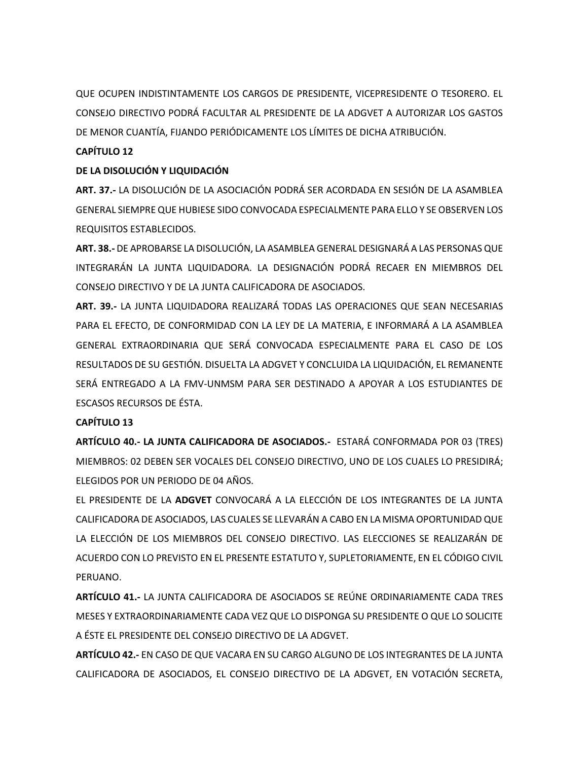QUE OCUPEN INDISTINTAMENTE LOS CARGOS DE PRESIDENTE, VICEPRESIDENTE O TESORERO. EL CONSEJO DIRECTIVO PODRÁ FACULTAR AL PRESIDENTE DE LA ADGVET A AUTORIZAR LOS GASTOS DE MENOR CUANTÍA, FIJANDO PERIÓDICAMENTE LOS LÍMITES DE DICHA ATRIBUCIÓN.

## **CAPÍTULO 12**

## **DE LA DISOLUCIÓN Y LIQUIDACIÓN**

**ART. 37.-** LA DISOLUCIÓN DE LA ASOCIACIÓN PODRÁ SER ACORDADA EN SESIÓN DE LA ASAMBLEA GENERAL SIEMPRE QUE HUBIESE SIDO CONVOCADA ESPECIALMENTE PARA ELLO Y SE OBSERVEN LOS REQUISITOS ESTABLECIDOS.

**ART. 38.-** DE APROBARSE LA DISOLUCIÓN, LA ASAMBLEA GENERAL DESIGNARÁ A LAS PERSONAS QUE INTEGRARÁN LA JUNTA LIQUIDADORA. LA DESIGNACIÓN PODRÁ RECAER EN MIEMBROS DEL CONSEJO DIRECTIVO Y DE LA JUNTA CALIFICADORA DE ASOCIADOS.

**ART. 39.-** LA JUNTA LIQUIDADORA REALIZARÁ TODAS LAS OPERACIONES QUE SEAN NECESARIAS PARA EL EFECTO, DE CONFORMIDAD CON LA LEY DE LA MATERIA, E INFORMARÁ A LA ASAMBLEA GENERAL EXTRAORDINARIA QUE SERÁ CONVOCADA ESPECIALMENTE PARA EL CASO DE LOS RESULTADOS DE SU GESTIÓN. DISUELTA LA ADGVET Y CONCLUIDA LA LIQUIDACIÓN, EL REMANENTE SERÁ ENTREGADO A LA FMV-UNMSM PARA SER DESTINADO A APOYAR A LOS ESTUDIANTES DE ESCASOS RECURSOS DE ÉSTA.

## **CAPÍTULO 13**

**ARTÍCULO 40.- LA JUNTA CALIFICADORA DE ASOCIADOS.-** ESTARÁ CONFORMADA POR 03 (TRES) MIEMBROS: 02 DEBEN SER VOCALES DEL CONSEJO DIRECTIVO, UNO DE LOS CUALES LO PRESIDIRÁ; ELEGIDOS POR UN PERIODO DE 04 AÑOS.

EL PRESIDENTE DE LA **ADGVET** CONVOCARÁ A LA ELECCIÓN DE LOS INTEGRANTES DE LA JUNTA CALIFICADORA DE ASOCIADOS, LAS CUALES SE LLEVARÁN A CABO EN LA MISMA OPORTUNIDAD QUE LA ELECCIÓN DE LOS MIEMBROS DEL CONSEJO DIRECTIVO. LAS ELECCIONES SE REALIZARÁN DE ACUERDO CON LO PREVISTO EN EL PRESENTE ESTATUTO Y, SUPLETORIAMENTE, EN EL CÓDIGO CIVIL PERUANO.

**ARTÍCULO 41.-** LA JUNTA CALIFICADORA DE ASOCIADOS SE REÚNE ORDINARIAMENTE CADA TRES MESES Y EXTRAORDINARIAMENTE CADA VEZ QUE LO DISPONGA SU PRESIDENTE O QUE LO SOLICITE A ÉSTE EL PRESIDENTE DEL CONSEJO DIRECTIVO DE LA ADGVET.

**ARTÍCULO 42.-** EN CASO DE QUE VACARA EN SU CARGO ALGUNO DE LOS INTEGRANTES DE LA JUNTA CALIFICADORA DE ASOCIADOS, EL CONSEJO DIRECTIVO DE LA ADGVET, EN VOTACIÓN SECRETA,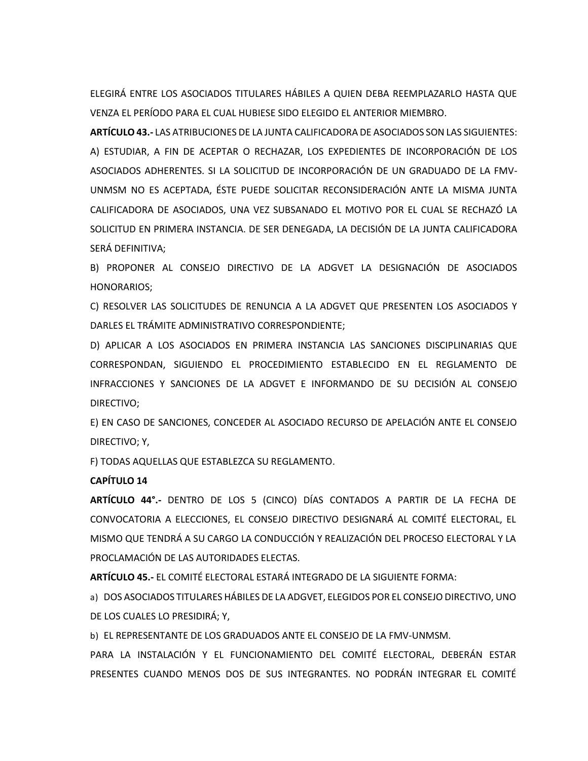ELEGIRÁ ENTRE LOS ASOCIADOS TITULARES HÁBILES A QUIEN DEBA REEMPLAZARLO HASTA QUE VENZA EL PERÍODO PARA EL CUAL HUBIESE SIDO ELEGIDO EL ANTERIOR MIEMBRO.

**ARTÍCULO 43.-** LAS ATRIBUCIONES DE LA JUNTA CALIFICADORA DE ASOCIADOS SON LAS SIGUIENTES: A) ESTUDIAR, A FIN DE ACEPTAR O RECHAZAR, LOS EXPEDIENTES DE INCORPORACIÓN DE LOS ASOCIADOS ADHERENTES. SI LA SOLICITUD DE INCORPORACIÓN DE UN GRADUADO DE LA FMV-UNMSM NO ES ACEPTADA, ÉSTE PUEDE SOLICITAR RECONSIDERACIÓN ANTE LA MISMA JUNTA CALIFICADORA DE ASOCIADOS, UNA VEZ SUBSANADO EL MOTIVO POR EL CUAL SE RECHAZÓ LA SOLICITUD EN PRIMERA INSTANCIA. DE SER DENEGADA, LA DECISIÓN DE LA JUNTA CALIFICADORA SERÁ DEFINITIVA;

B) PROPONER AL CONSEJO DIRECTIVO DE LA ADGVET LA DESIGNACIÓN DE ASOCIADOS HONORARIOS;

C) RESOLVER LAS SOLICITUDES DE RENUNCIA A LA ADGVET QUE PRESENTEN LOS ASOCIADOS Y DARLES EL TRÁMITE ADMINISTRATIVO CORRESPONDIENTE;

D) APLICAR A LOS ASOCIADOS EN PRIMERA INSTANCIA LAS SANCIONES DISCIPLINARIAS QUE CORRESPONDAN, SIGUIENDO EL PROCEDIMIENTO ESTABLECIDO EN EL REGLAMENTO DE INFRACCIONES Y SANCIONES DE LA ADGVET E INFORMANDO DE SU DECISIÓN AL CONSEJO DIRECTIVO;

E) EN CASO DE SANCIONES, CONCEDER AL ASOCIADO RECURSO DE APELACIÓN ANTE EL CONSEJO DIRECTIVO; Y,

F) TODAS AQUELLAS QUE ESTABLEZCA SU REGLAMENTO.

#### **CAPÍTULO 14**

**ARTÍCULO 44°.-** DENTRO DE LOS 5 (CINCO) DÍAS CONTADOS A PARTIR DE LA FECHA DE CONVOCATORIA A ELECCIONES, EL CONSEJO DIRECTIVO DESIGNARÁ AL COMITÉ ELECTORAL, EL MISMO QUE TENDRÁ A SU CARGO LA CONDUCCIÓN Y REALIZACIÓN DEL PROCESO ELECTORAL Y LA PROCLAMACIÓN DE LAS AUTORIDADES ELECTAS.

**ARTÍCULO 45.-** EL COMITÉ ELECTORAL ESTARÁ INTEGRADO DE LA SIGUIENTE FORMA:

a) DOS ASOCIADOS TITULARES HÁBILES DE LA ADGVET, ELEGIDOS POR EL CONSEJO DIRECTIVO, UNO DE LOS CUALES LO PRESIDIRÁ; Y,

b) EL REPRESENTANTE DE LOS GRADUADOS ANTE EL CONSEJO DE LA FMV-UNMSM.

PARA LA INSTALACIÓN Y EL FUNCIONAMIENTO DEL COMITÉ ELECTORAL, DEBERÁN ESTAR PRESENTES CUANDO MENOS DOS DE SUS INTEGRANTES. NO PODRÁN INTEGRAR EL COMITÉ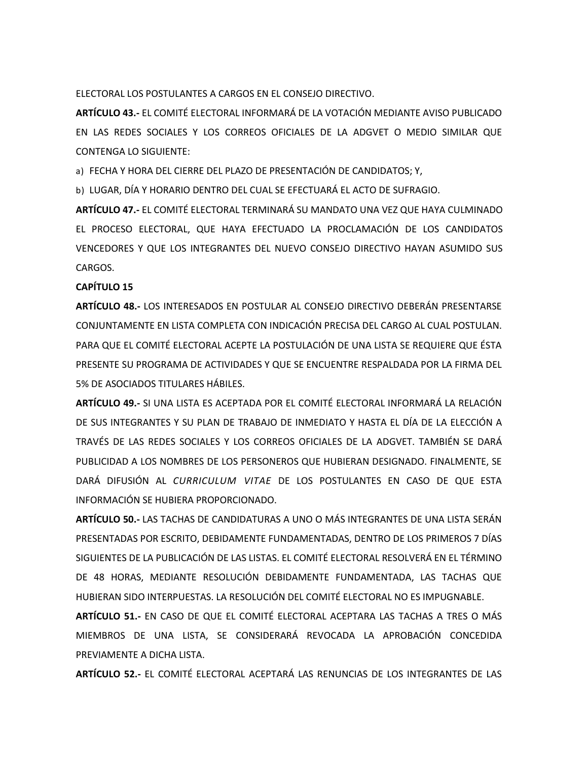ELECTORAL LOS POSTULANTES A CARGOS EN EL CONSEJO DIRECTIVO.

**ARTÍCULO 43.-** EL COMITÉ ELECTORAL INFORMARÁ DE LA VOTACIÓN MEDIANTE AVISO PUBLICADO EN LAS REDES SOCIALES Y LOS CORREOS OFICIALES DE LA ADGVET O MEDIO SIMILAR QUE CONTENGA LO SIGUIENTE:

a) FECHA Y HORA DEL CIERRE DEL PLAZO DE PRESENTACIÓN DE CANDIDATOS; Y,

b) LUGAR, DÍA Y HORARIO DENTRO DEL CUAL SE EFECTUARÁ EL ACTO DE SUFRAGIO.

**ARTÍCULO 47.-** EL COMITÉ ELECTORAL TERMINARÁ SU MANDATO UNA VEZ QUE HAYA CULMINADO EL PROCESO ELECTORAL, QUE HAYA EFECTUADO LA PROCLAMACIÓN DE LOS CANDIDATOS VENCEDORES Y QUE LOS INTEGRANTES DEL NUEVO CONSEJO DIRECTIVO HAYAN ASUMIDO SUS CARGOS.

#### **CAPÍTULO 15**

**ARTÍCULO 48.-** LOS INTERESADOS EN POSTULAR AL CONSEJO DIRECTIVO DEBERÁN PRESENTARSE CONJUNTAMENTE EN LISTA COMPLETA CON INDICACIÓN PRECISA DEL CARGO AL CUAL POSTULAN. PARA QUE EL COMITÉ ELECTORAL ACEPTE LA POSTULACIÓN DE UNA LISTA SE REQUIERE QUE ÉSTA PRESENTE SU PROGRAMA DE ACTIVIDADES Y QUE SE ENCUENTRE RESPALDADA POR LA FIRMA DEL 5% DE ASOCIADOS TITULARES HÁBILES.

**ARTÍCULO 49.-** SI UNA LISTA ES ACEPTADA POR EL COMITÉ ELECTORAL INFORMARÁ LA RELACIÓN DE SUS INTEGRANTES Y SU PLAN DE TRABAJO DE INMEDIATO Y HASTA EL DÍA DE LA ELECCIÓN A TRAVÉS DE LAS REDES SOCIALES Y LOS CORREOS OFICIALES DE LA ADGVET. TAMBIÉN SE DARÁ PUBLICIDAD A LOS NOMBRES DE LOS PERSONEROS QUE HUBIERAN DESIGNADO. FINALMENTE, SE DARÁ DIFUSIÓN AL *CURRICULUM VITAE* DE LOS POSTULANTES EN CASO DE QUE ESTA INFORMACIÓN SE HUBIERA PROPORCIONADO.

**ARTÍCULO 50.-** LAS TACHAS DE CANDIDATURAS A UNO O MÁS INTEGRANTES DE UNA LISTA SERÁN PRESENTADAS POR ESCRITO, DEBIDAMENTE FUNDAMENTADAS, DENTRO DE LOS PRIMEROS 7 DÍAS SIGUIENTES DE LA PUBLICACIÓN DE LAS LISTAS. EL COMITÉ ELECTORAL RESOLVERÁ EN EL TÉRMINO DE 48 HORAS, MEDIANTE RESOLUCIÓN DEBIDAMENTE FUNDAMENTADA, LAS TACHAS QUE HUBIERAN SIDO INTERPUESTAS. LA RESOLUCIÓN DEL COMITÉ ELECTORAL NO ES IMPUGNABLE.

**ARTÍCULO 51.-** EN CASO DE QUE EL COMITÉ ELECTORAL ACEPTARA LAS TACHAS A TRES O MÁS MIEMBROS DE UNA LISTA, SE CONSIDERARÁ REVOCADA LA APROBACIÓN CONCEDIDA PREVIAMENTE A DICHA LISTA.

**ARTÍCULO 52.-** EL COMITÉ ELECTORAL ACEPTARÁ LAS RENUNCIAS DE LOS INTEGRANTES DE LAS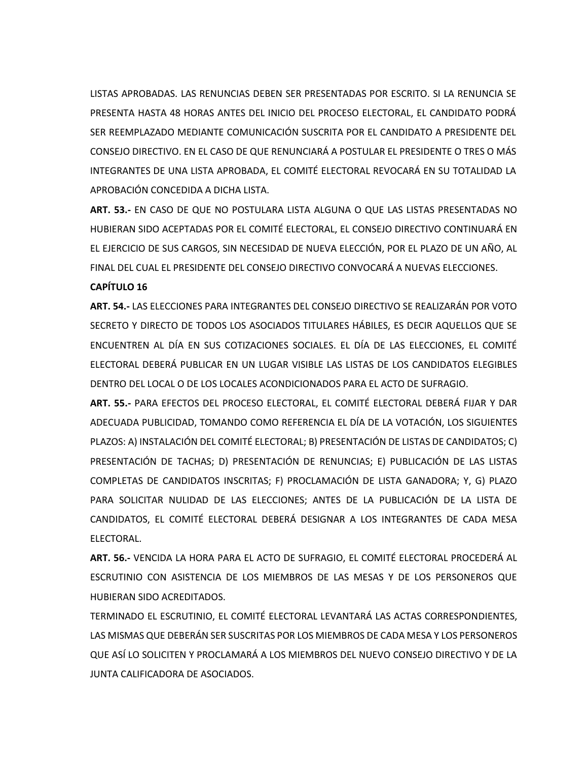LISTAS APROBADAS. LAS RENUNCIAS DEBEN SER PRESENTADAS POR ESCRITO. SI LA RENUNCIA SE PRESENTA HASTA 48 HORAS ANTES DEL INICIO DEL PROCESO ELECTORAL, EL CANDIDATO PODRÁ SER REEMPLAZADO MEDIANTE COMUNICACIÓN SUSCRITA POR EL CANDIDATO A PRESIDENTE DEL CONSEJO DIRECTIVO. EN EL CASO DE QUE RENUNCIARÁ A POSTULAR EL PRESIDENTE O TRES O MÁS INTEGRANTES DE UNA LISTA APROBADA, EL COMITÉ ELECTORAL REVOCARÁ EN SU TOTALIDAD LA APROBACIÓN CONCEDIDA A DICHA LISTA.

**ART. 53.-** EN CASO DE QUE NO POSTULARA LISTA ALGUNA O QUE LAS LISTAS PRESENTADAS NO HUBIERAN SIDO ACEPTADAS POR EL COMITÉ ELECTORAL, EL CONSEJO DIRECTIVO CONTINUARÁ EN EL EJERCICIO DE SUS CARGOS, SIN NECESIDAD DE NUEVA ELECCIÓN, POR EL PLAZO DE UN AÑO, AL FINAL DEL CUAL EL PRESIDENTE DEL CONSEJO DIRECTIVO CONVOCARÁ A NUEVAS ELECCIONES.

## **CAPÍTULO 16**

**ART. 54.-** LAS ELECCIONES PARA INTEGRANTES DEL CONSEJO DIRECTIVO SE REALIZARÁN POR VOTO SECRETO Y DIRECTO DE TODOS LOS ASOCIADOS TITULARES HÁBILES, ES DECIR AQUELLOS QUE SE ENCUENTREN AL DÍA EN SUS COTIZACIONES SOCIALES. EL DÍA DE LAS ELECCIONES, EL COMITÉ ELECTORAL DEBERÁ PUBLICAR EN UN LUGAR VISIBLE LAS LISTAS DE LOS CANDIDATOS ELEGIBLES DENTRO DEL LOCAL O DE LOS LOCALES ACONDICIONADOS PARA EL ACTO DE SUFRAGIO.

**ART. 55.-** PARA EFECTOS DEL PROCESO ELECTORAL, EL COMITÉ ELECTORAL DEBERÁ FIJAR Y DAR ADECUADA PUBLICIDAD, TOMANDO COMO REFERENCIA EL DÍA DE LA VOTACIÓN, LOS SIGUIENTES PLAZOS: A) INSTALACIÓN DEL COMITÉ ELECTORAL; B) PRESENTACIÓN DE LISTAS DE CANDIDATOS; C) PRESENTACIÓN DE TACHAS; D) PRESENTACIÓN DE RENUNCIAS; E) PUBLICACIÓN DE LAS LISTAS COMPLETAS DE CANDIDATOS INSCRITAS; F) PROCLAMACIÓN DE LISTA GANADORA; Y, G) PLAZO PARA SOLICITAR NULIDAD DE LAS ELECCIONES; ANTES DE LA PUBLICACIÓN DE LA LISTA DE CANDIDATOS, EL COMITÉ ELECTORAL DEBERÁ DESIGNAR A LOS INTEGRANTES DE CADA MESA ELECTORAL.

**ART. 56.-** VENCIDA LA HORA PARA EL ACTO DE SUFRAGIO, EL COMITÉ ELECTORAL PROCEDERÁ AL ESCRUTINIO CON ASISTENCIA DE LOS MIEMBROS DE LAS MESAS Y DE LOS PERSONEROS QUE HUBIERAN SIDO ACREDITADOS.

TERMINADO EL ESCRUTINIO, EL COMITÉ ELECTORAL LEVANTARÁ LAS ACTAS CORRESPONDIENTES, LAS MISMAS QUE DEBERÁN SER SUSCRITAS POR LOS MIEMBROS DE CADA MESA Y LOS PERSONEROS QUE ASÍ LO SOLICITEN Y PROCLAMARÁ A LOS MIEMBROS DEL NUEVO CONSEJO DIRECTIVO Y DE LA JUNTA CALIFICADORA DE ASOCIADOS.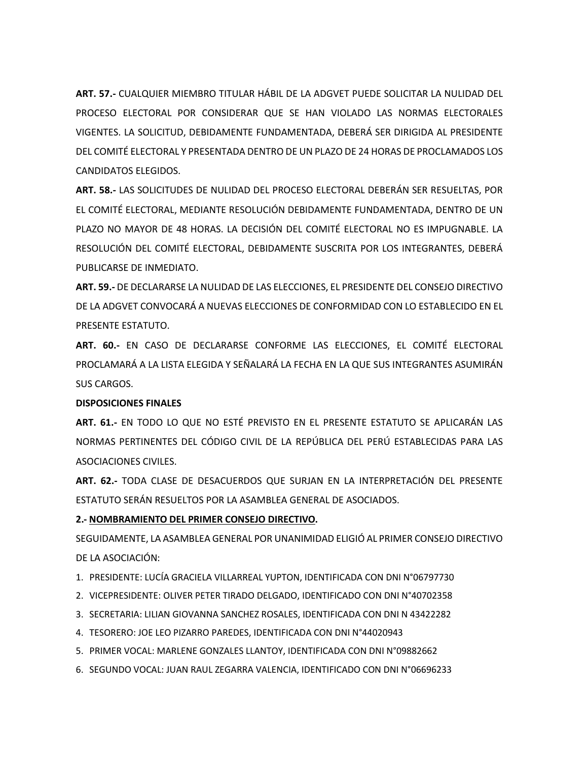**ART. 57.-** CUALQUIER MIEMBRO TITULAR HÁBIL DE LA ADGVET PUEDE SOLICITAR LA NULIDAD DEL PROCESO ELECTORAL POR CONSIDERAR QUE SE HAN VIOLADO LAS NORMAS ELECTORALES VIGENTES. LA SOLICITUD, DEBIDAMENTE FUNDAMENTADA, DEBERÁ SER DIRIGIDA AL PRESIDENTE DEL COMITÉ ELECTORAL Y PRESENTADA DENTRO DE UN PLAZO DE 24 HORAS DE PROCLAMADOS LOS CANDIDATOS ELEGIDOS.

**ART. 58.-** LAS SOLICITUDES DE NULIDAD DEL PROCESO ELECTORAL DEBERÁN SER RESUELTAS, POR EL COMITÉ ELECTORAL, MEDIANTE RESOLUCIÓN DEBIDAMENTE FUNDAMENTADA, DENTRO DE UN PLAZO NO MAYOR DE 48 HORAS. LA DECISIÓN DEL COMITÉ ELECTORAL NO ES IMPUGNABLE. LA RESOLUCIÓN DEL COMITÉ ELECTORAL, DEBIDAMENTE SUSCRITA POR LOS INTEGRANTES, DEBERÁ PUBLICARSE DE INMEDIATO.

**ART. 59.-** DE DECLARARSE LA NULIDAD DE LAS ELECCIONES, EL PRESIDENTE DEL CONSEJO DIRECTIVO DE LA ADGVET CONVOCARÁ A NUEVAS ELECCIONES DE CONFORMIDAD CON LO ESTABLECIDO EN EL PRESENTE ESTATUTO.

**ART. 60.-** EN CASO DE DECLARARSE CONFORME LAS ELECCIONES, EL COMITÉ ELECTORAL PROCLAMARÁ A LA LISTA ELEGIDA Y SEÑALARÁ LA FECHA EN LA QUE SUS INTEGRANTES ASUMIRÁN SUS CARGOS.

#### **DISPOSICIONES FINALES**

**ART. 61.-** EN TODO LO QUE NO ESTÉ PREVISTO EN EL PRESENTE ESTATUTO SE APLICARÁN LAS NORMAS PERTINENTES DEL CÓDIGO CIVIL DE LA REPÚBLICA DEL PERÚ ESTABLECIDAS PARA LAS ASOCIACIONES CIVILES.

**ART. 62.-** TODA CLASE DE DESACUERDOS QUE SURJAN EN LA INTERPRETACIÓN DEL PRESENTE ESTATUTO SERÁN RESUELTOS POR LA ASAMBLEA GENERAL DE ASOCIADOS.

### **2.- NOMBRAMIENTO DEL PRIMER CONSEJO DIRECTIVO.**

SEGUIDAMENTE, LA ASAMBLEA GENERAL POR UNANIMIDAD ELIGIÓ AL PRIMER CONSEJO DIRECTIVO DE LA ASOCIACIÓN:

- 1. PRESIDENTE: LUCÍA GRACIELA VILLARREAL YUPTON, IDENTIFICADA CON DNI N°06797730
- 2. VICEPRESIDENTE: OLIVER PETER TIRADO DELGADO, IDENTIFICADO CON DNI N°40702358
- 3. SECRETARIA: LILIAN GIOVANNA SANCHEZ ROSALES, IDENTIFICADA CON DNI N 43422282
- 4. TESORERO: JOE LEO PIZARRO PAREDES, IDENTIFICADA CON DNI N°44020943
- 5. PRIMER VOCAL: MARLENE GONZALES LLANTOY, IDENTIFICADA CON DNI N°09882662
- 6. SEGUNDO VOCAL: JUAN RAUL ZEGARRA VALENCIA, IDENTIFICADO CON DNI N°06696233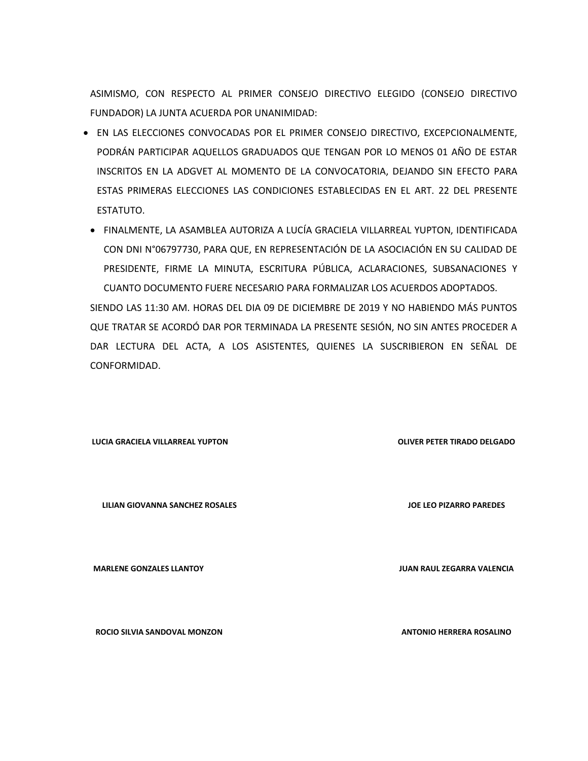ASIMISMO, CON RESPECTO AL PRIMER CONSEJO DIRECTIVO ELEGIDO (CONSEJO DIRECTIVO FUNDADOR) LA JUNTA ACUERDA POR UNANIMIDAD:

- EN LAS ELECCIONES CONVOCADAS POR EL PRIMER CONSEJO DIRECTIVO, EXCEPCIONALMENTE, PODRÁN PARTICIPAR AQUELLOS GRADUADOS QUE TENGAN POR LO MENOS 01 AÑO DE ESTAR INSCRITOS EN LA ADGVET AL MOMENTO DE LA CONVOCATORIA, DEJANDO SIN EFECTO PARA ESTAS PRIMERAS ELECCIONES LAS CONDICIONES ESTABLECIDAS EN EL ART. 22 DEL PRESENTE ESTATUTO.
	- FINALMENTE, LA ASAMBLEA AUTORIZA A LUCÍA GRACIELA VILLARREAL YUPTON, IDENTIFICADA CON DNI N°06797730, PARA QUE, EN REPRESENTACIÓN DE LA ASOCIACIÓN EN SU CALIDAD DE PRESIDENTE, FIRME LA MINUTA, ESCRITURA PÚBLICA, ACLARACIONES, SUBSANACIONES Y CUANTO DOCUMENTO FUERE NECESARIO PARA FORMALIZAR LOS ACUERDOS ADOPTADOS.

SIENDO LAS 11:30 AM. HORAS DEL DIA 09 DE DICIEMBRE DE 2019 Y NO HABIENDO MÁS PUNTOS QUE TRATAR SE ACORDÓ DAR POR TERMINADA LA PRESENTE SESIÓN, NO SIN ANTES PROCEDER A DAR LECTURA DEL ACTA, A LOS ASISTENTES, QUIENES LA SUSCRIBIERON EN SEÑAL DE CONFORMIDAD.

**LUCIA GRACIELA VILLARREAL YUPTON OLIVER PETER TIRADO DELGADO**

**LILIAN GIOVANNA SANCHEZ ROSALES JOE LEO PIZARRO PAREDES**

**ROCIO SILVIA SANDOVAL MONZON ANTONIO HERRERA ROSALINO** 

**MARLENE GONZALES LLANTOY JUAN RAUL ZEGARRA VALENCIA**